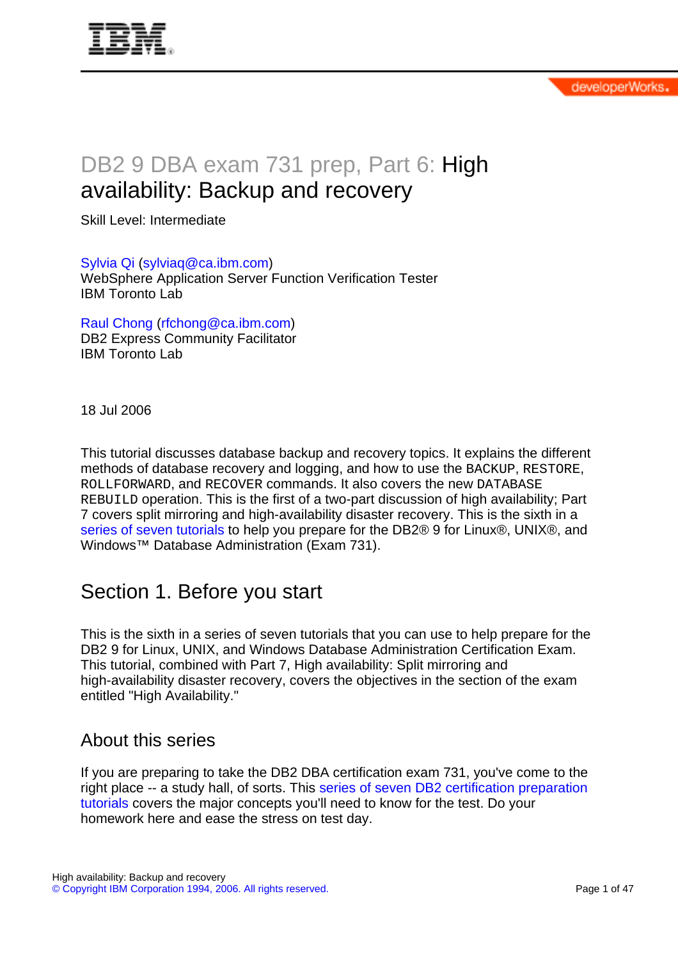# DB2 9 DBA exam 731 prep, Part 6: High availability: Backup and recovery

Skill Level: Intermediate

[Sylvia Qi](#page-45-0) ([sylviaq@ca.ibm.com\)](mailto:sylviaq@ca.ibm.com) WebSphere Application Server Function Verification Tester IBM Toronto Lab

[Raul Chong](#page-45-0) ([rfchong@ca.ibm.com](mailto:rfchong@ca.ibm.com)) DB2 Express Community Facilitator IBM Toronto Lab

18 Jul 2006

This tutorial discusses database backup and recovery topics. It explains the different methods of database recovery and logging, and how to use the BACKUP, RESTORE, ROLLFORWARD, and RECOVER commands. It also covers the new DATABASE REBUILD operation. This is the first of a two-part discussion of high availability; Part 7 covers split mirroring and high-availability disaster recovery. This is the sixth in a [series of seven tutorials](http://www.ibm.com/developerworks/offers/lp/db2cert/db2-cert731.html?S_TACT=105AGX19&S_CMP=db2cert) to help you prepare for the DB2® 9 for Linux®, UNIX®, and Windows™ Database Administration (Exam 731).

# Section 1. Before you start

This is the sixth in a series of seven tutorials that you can use to help prepare for the DB2 9 for Linux, UNIX, and Windows Database Administration Certification Exam. This tutorial, combined with Part 7, High availability: Split mirroring and high-availability disaster recovery, covers the objectives in the section of the exam entitled "High Availability."

### About this series

If you are preparing to take the DB2 DBA certification exam 731, you've come to the right place -- a study hall, of sorts. This [series of seven DB2 certification preparation](http://www.ibm.com/developerworks/offers/lp/db2cert/db2-cert731.html?S_TACT=105AGX19&S_CMP=db2cert) [tutorials](http://www.ibm.com/developerworks/offers/lp/db2cert/db2-cert731.html?S_TACT=105AGX19&S_CMP=db2cert) covers the major concepts you'll need to know for the test. Do your homework here and ease the stress on test day.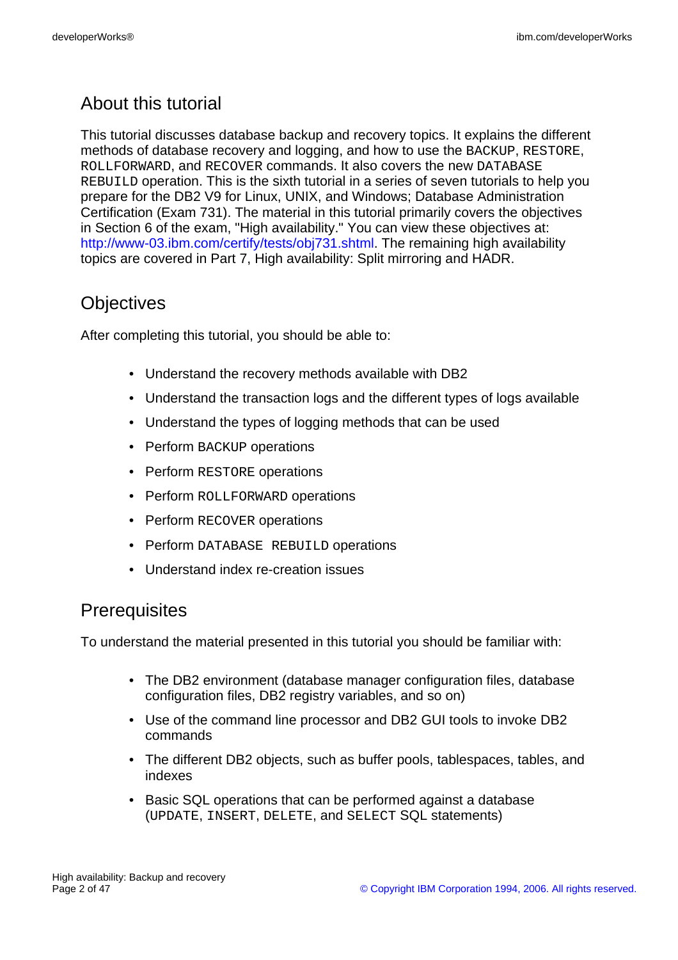# About this tutorial

This tutorial discusses database backup and recovery topics. It explains the different methods of database recovery and logging, and how to use the BACKUP, RESTORE, ROLLFORWARD, and RECOVER commands. It also covers the new DATABASE REBUILD operation. This is the sixth tutorial in a series of seven tutorials to help you prepare for the DB2 V9 for Linux, UNIX, and Windows; Database Administration Certification (Exam 731). The material in this tutorial primarily covers the objectives in Section 6 of the exam, "High availability." You can view these objectives at: <http://www-03.ibm.com/certify/tests/obj731.shtml>. The remaining high availability topics are covered in Part 7, High availability: Split mirroring and HADR.

## **Objectives**

After completing this tutorial, you should be able to:

- Understand the recovery methods available with DB2
- Understand the transaction logs and the different types of logs available
- Understand the types of logging methods that can be used
- Perform BACKUP operations
- Perform RESTORE operations
- Perform ROLLFORWARD operations
- Perform RECOVER operations
- Perform DATABASE REBUILD operations
- Understand index re-creation issues

### **Prerequisites**

To understand the material presented in this tutorial you should be familiar with:

- The DB2 environment (database manager configuration files, database configuration files, DB2 registry variables, and so on)
- Use of the command line processor and DB2 GUI tools to invoke DB2 commands
- The different DB2 objects, such as buffer pools, tablespaces, tables, and indexes
- Basic SQL operations that can be performed against a database (UPDATE, INSERT, DELETE, and SELECT SQL statements)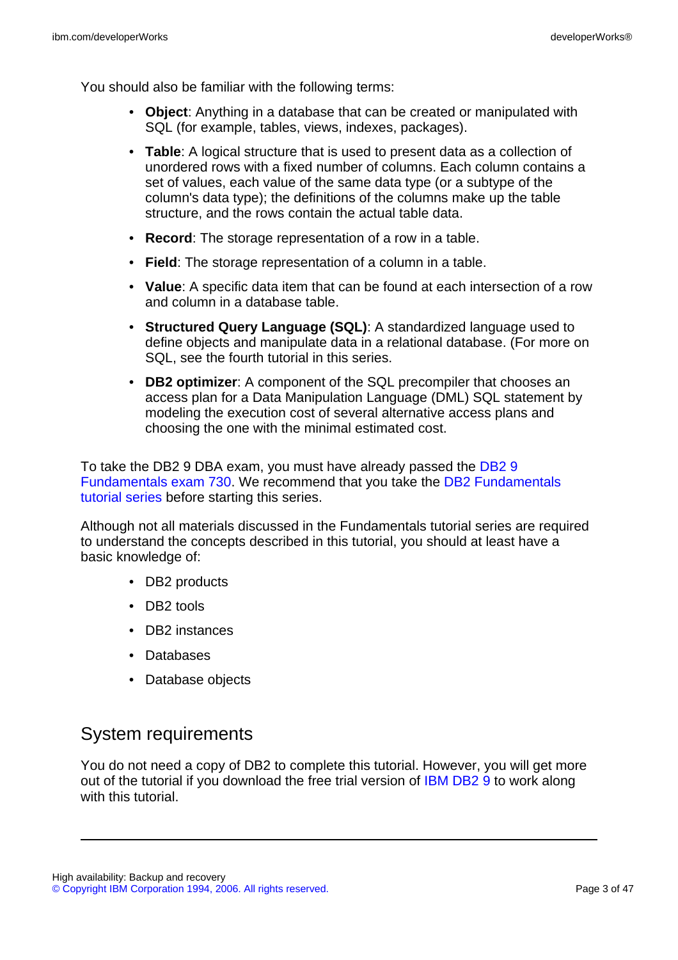You should also be familiar with the following terms:

- **Object**: Anything in a database that can be created or manipulated with SQL (for example, tables, views, indexes, packages).
- **Table**: A logical structure that is used to present data as a collection of unordered rows with a fixed number of columns. Each column contains a set of values, each value of the same data type (or a subtype of the column's data type); the definitions of the columns make up the table structure, and the rows contain the actual table data.
- **Record**: The storage representation of a row in a table.
- **Field**: The storage representation of a column in a table.
- **Value**: A specific data item that can be found at each intersection of a row and column in a database table.
- **Structured Query Language (SQL)**: A standardized language used to define objects and manipulate data in a relational database. (For more on SQL, see the fourth tutorial in this series.
- **DB2 optimizer**: A component of the SQL precompiler that chooses an access plan for a Data Manipulation Language (DML) SQL statement by modeling the execution cost of several alternative access plans and choosing the one with the minimal estimated cost.

To take the DB2 9 DBA exam, you must have already passed the [DB2 9](http://www-03.ibm.com/certify/tests/test_index.shtml) [Fundamentals exam 730.](http://www-03.ibm.com/certify/tests/test_index.shtml) We recommend that you take the [DB2 Fundamentals](http://www.ibm.com/developerworks/offers/lp/db2cert/db2-cert730.html?S_TACT=105AGX19&S_CMP=db2cert) [tutorial series](http://www.ibm.com/developerworks/offers/lp/db2cert/db2-cert730.html?S_TACT=105AGX19&S_CMP=db2cert) before starting this series.

Although not all materials discussed in the Fundamentals tutorial series are required to understand the concepts described in this tutorial, you should at least have a basic knowledge of:

- DB2 products
- DB<sub>2</sub> tools
- DB2 instances
- Databases
- Database objects

## System requirements

You do not need a copy of DB2 to complete this tutorial. However, you will get more out of the tutorial if you download the free trial version of [IBM DB2 9](http://www.ibm.com/developerworks/downloads/im/udb/?S_TACT=105AGX19&S_CMP=db2cert) to work along with this tutorial.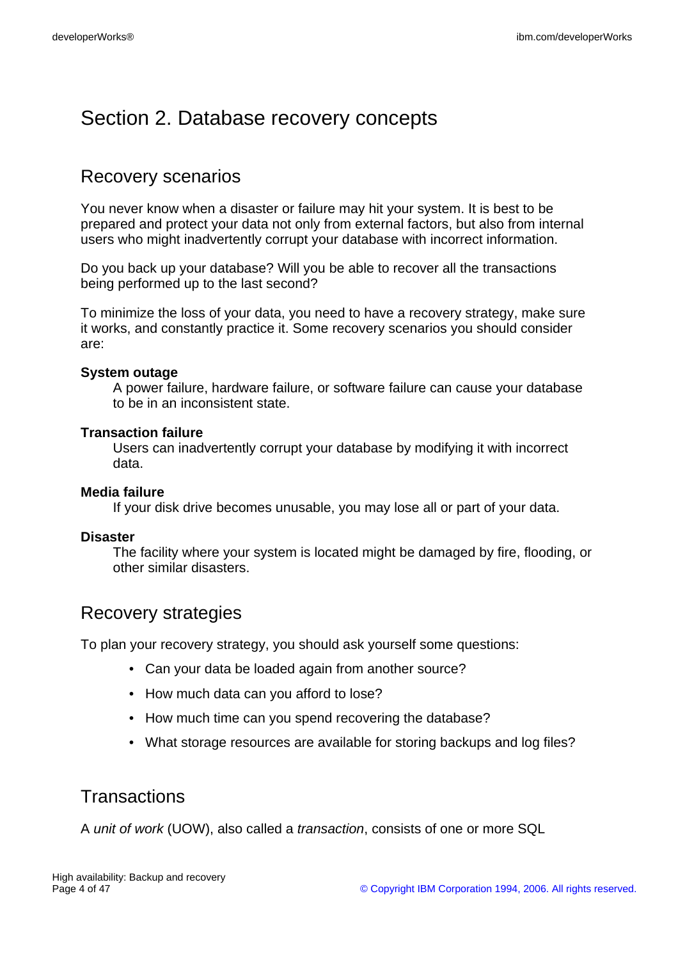# Section 2. Database recovery concepts

### Recovery scenarios

You never know when a disaster or failure may hit your system. It is best to be prepared and protect your data not only from external factors, but also from internal users who might inadvertently corrupt your database with incorrect information.

Do you back up your database? Will you be able to recover all the transactions being performed up to the last second?

To minimize the loss of your data, you need to have a recovery strategy, make sure it works, and constantly practice it. Some recovery scenarios you should consider are:

#### **System outage**

A power failure, hardware failure, or software failure can cause your database to be in an inconsistent state.

#### **Transaction failure**

Users can inadvertently corrupt your database by modifying it with incorrect data.

#### **Media failure**

If your disk drive becomes unusable, you may lose all or part of your data.

#### **Disaster**

The facility where your system is located might be damaged by fire, flooding, or other similar disasters.

### Recovery strategies

To plan your recovery strategy, you should ask yourself some questions:

- Can your data be loaded again from another source?
- How much data can you afford to lose?
- How much time can you spend recovering the database?
- What storage resources are available for storing backups and log files?

### **Transactions**

A unit of work (UOW), also called a transaction, consists of one or more SQL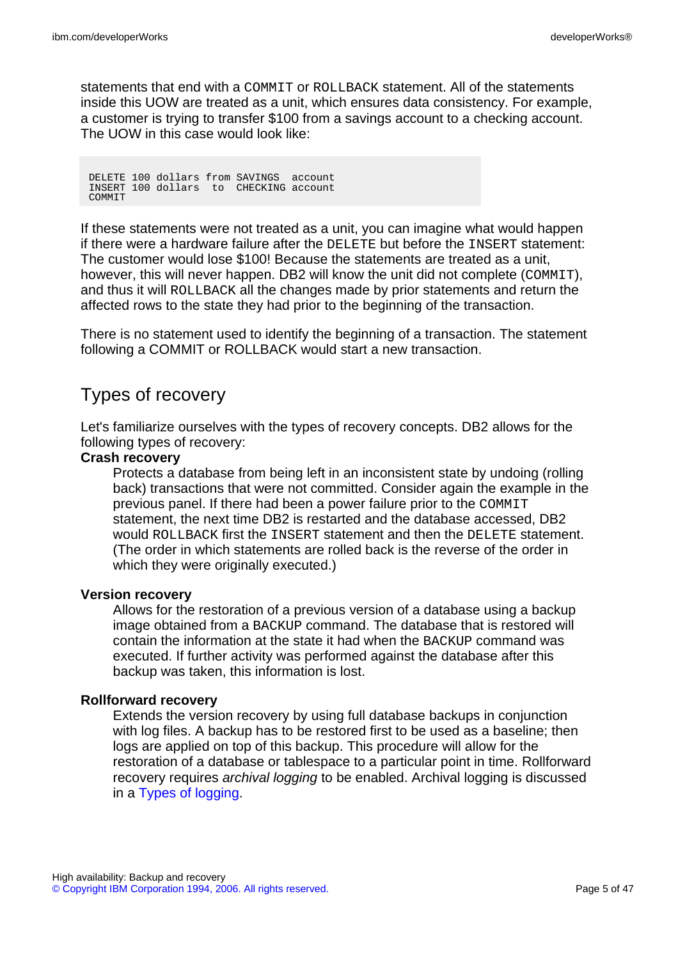statements that end with a COMMIT or ROLLBACK statement. All of the statements inside this UOW are treated as a unit, which ensures data consistency. For example, a customer is trying to transfer \$100 from a savings account to a checking account. The UOW in this case would look like:

DELETE 100 dollars from SAVINGS account INSERT 100 dollars to CHECKING account COMMIT

If these statements were not treated as a unit, you can imagine what would happen if there were a hardware failure after the DELETE but before the INSERT statement: The customer would lose \$100! Because the statements are treated as a unit, however, this will never happen. DB2 will know the unit did not complete (COMMIT), and thus it will ROLLBACK all the changes made by prior statements and return the affected rows to the state they had prior to the beginning of the transaction.

There is no statement used to identify the beginning of a transaction. The statement following a COMMIT or ROLLBACK would start a new transaction.

### Types of recovery

Let's familiarize ourselves with the types of recovery concepts. DB2 allows for the following types of recovery:

#### **Crash recovery**

Protects a database from being left in an inconsistent state by undoing (rolling back) transactions that were not committed. Consider again the example in the previous panel. If there had been a power failure prior to the COMMIT statement, the next time DB2 is restarted and the database accessed, DB2 would ROLLBACK first the INSERT statement and then the DELETE statement. (The order in which statements are rolled back is the reverse of the order in which they were originally executed.)

#### **Version recovery**

Allows for the restoration of a previous version of a database using a backup image obtained from a BACKUP command. The database that is restored will contain the information at the state it had when the BACKUP command was executed. If further activity was performed against the database after this backup was taken, this information is lost.

#### **Rollforward recovery**

Extends the version recovery by using full database backups in conjunction with log files. A backup has to be restored first to be used as a baseline; then logs are applied on top of this backup. This procedure will allow for the restoration of a database or tablespace to a particular point in time. Rollforward recovery requires archival logging to be enabled. Archival logging is discussed in a [Types of logging.](#page-7-0)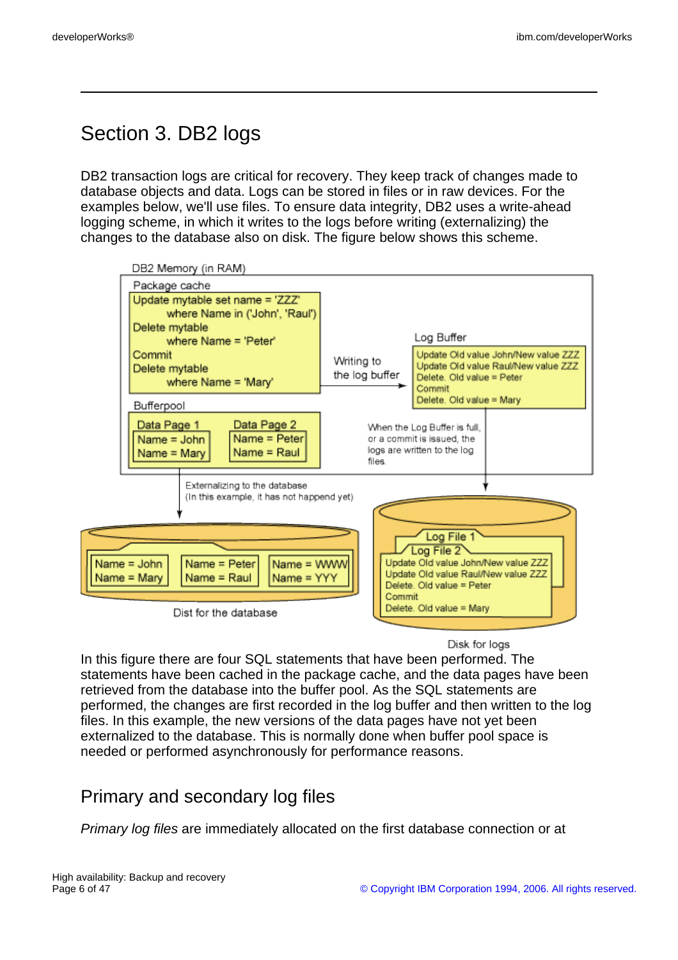# Section 3. DB2 logs

DB2 transaction logs are critical for recovery. They keep track of changes made to database objects and data. Logs can be stored in files or in raw devices. For the examples below, we'll use files. To ensure data integrity, DB2 uses a write-ahead logging scheme, in which it writes to the logs before writing (externalizing) the changes to the database also on disk. The figure below shows this scheme.



#### Disk for logs

In this figure there are four SQL statements that have been performed. The statements have been cached in the package cache, and the data pages have been retrieved from the database into the buffer pool. As the SQL statements are performed, the changes are first recorded in the log buffer and then written to the log files. In this example, the new versions of the data pages have not yet been externalized to the database. This is normally done when buffer pool space is needed or performed asynchronously for performance reasons.

### <span id="page-5-0"></span>Primary and secondary log files

Primary log files are immediately allocated on the first database connection or at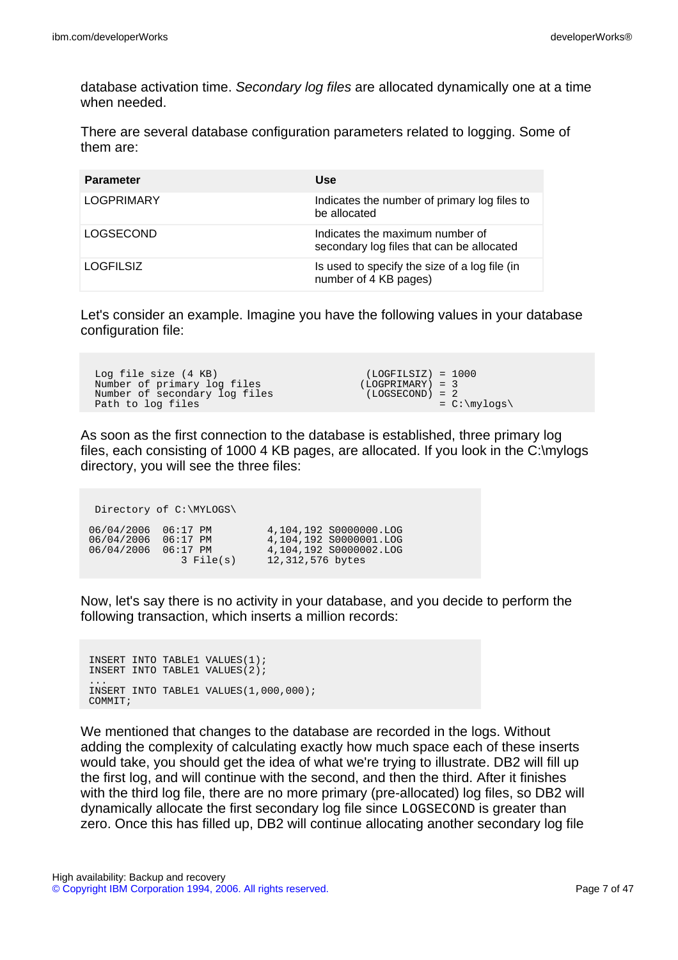database activation time. Secondary log files are allocated dynamically one at a time when needed.

There are several database configuration parameters related to logging. Some of them are:

| <b>Parameter</b>  | <b>Use</b>                                                                   |
|-------------------|------------------------------------------------------------------------------|
| <b>LOGPRIMARY</b> | Indicates the number of primary log files to<br>be allocated                 |
| LOGSECOND         | Indicates the maximum number of<br>secondary log files that can be allocated |
| <b>LOGFILSIZ</b>  | Is used to specify the size of a log file (in<br>number of 4 KB pages)       |

Let's consider an example. Imagine you have the following values in your database configuration file:

```
Log file size (4 KB) (LOGFILSIZ) = 1000<br>Number of primary log files (LOGPRIMARY) = 3
Number of primary log files (LOGPRIMARY) = 3
Number of secondary log files (LOGSECOND) = 2
Path to log files \overline{ } = C:\mylogs\
```
As soon as the first connection to the database is established, three primary log files, each consisting of 1000 4 KB pages, are allocated. If you look in the C:\mylogs directory, you will see the three files:

Directory of C:\MYLOGS\ 06/04/2006 06:17 PM 4,104,192 S0000000.LOG 06/04/2006 06:17 PM 4,104,192 S0000001.LOG 06/04/2006 06:17 PM 4,104,192 S0000002.LOG 3 File(s) 12,312,576 bytes

Now, let's say there is no activity in your database, and you decide to perform the following transaction, which inserts a million records:

INSERT INTO TABLE1 VALUES(1); INSERT INTO TABLE1 VALUES(2); ... INSERT INTO TABLE1 VALUES(1,000,000); COMMIT;

We mentioned that changes to the database are recorded in the logs. Without adding the complexity of calculating exactly how much space each of these inserts would take, you should get the idea of what we're trying to illustrate. DB2 will fill up the first log, and will continue with the second, and then the third. After it finishes with the third log file, there are no more primary (pre-allocated) log files, so DB2 will dynamically allocate the first secondary log file since LOGSECOND is greater than zero. Once this has filled up, DB2 will continue allocating another secondary log file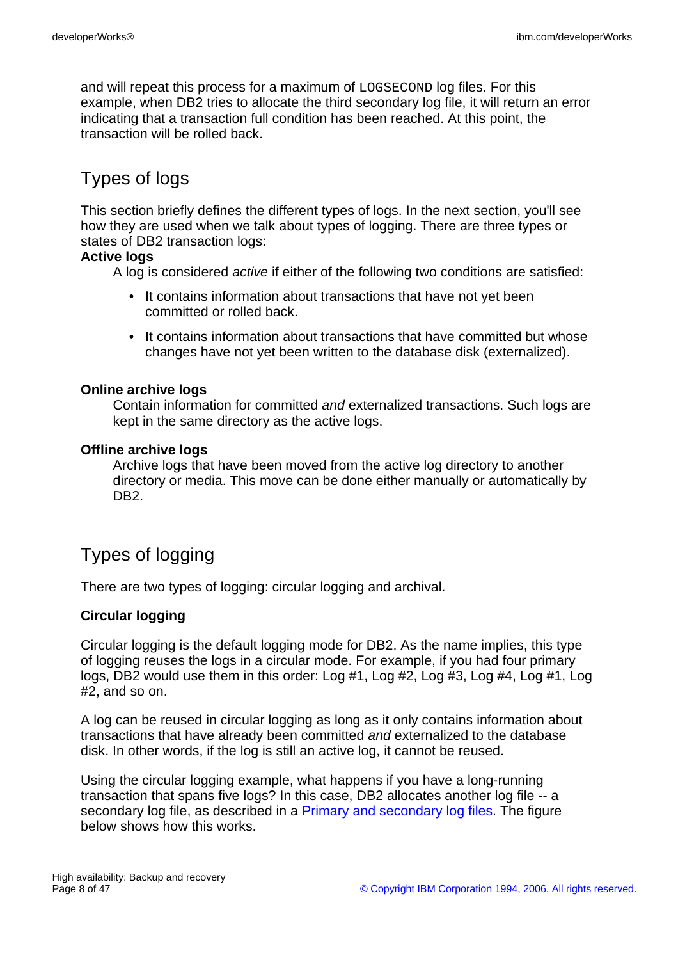and will repeat this process for a maximum of LOGSECOND log files. For this example, when DB2 tries to allocate the third secondary log file, it will return an error indicating that a transaction full condition has been reached. At this point, the transaction will be rolled back.

# Types of logs

This section briefly defines the different types of logs. In the next section, you'll see how they are used when we talk about types of logging. There are three types or states of DB2 transaction logs:

#### **Active logs**

A log is considered active if either of the following two conditions are satisfied:

- It contains information about transactions that have not yet been committed or rolled back.
- It contains information about transactions that have committed but whose changes have not yet been written to the database disk (externalized).

#### **Online archive logs**

Contain information for committed and externalized transactions. Such logs are kept in the same directory as the active logs.

#### **Offline archive logs**

Archive logs that have been moved from the active log directory to another directory or media. This move can be done either manually or automatically by DB2.

# <span id="page-7-0"></span>Types of logging

There are two types of logging: circular logging and archival.

#### **Circular logging**

Circular logging is the default logging mode for DB2. As the name implies, this type of logging reuses the logs in a circular mode. For example, if you had four primary logs, DB2 would use them in this order: Log #1, Log #2, Log #3, Log #4, Log #1, Log #2, and so on.

A log can be reused in circular logging as long as it only contains information about transactions that have already been committed and externalized to the database disk. In other words, if the log is still an active log, it cannot be reused.

Using the circular logging example, what happens if you have a long-running transaction that spans five logs? In this case, DB2 allocates another log file -- a secondary log file, as described in a [Primary and secondary log files](#page-5-0). The figure below shows how this works.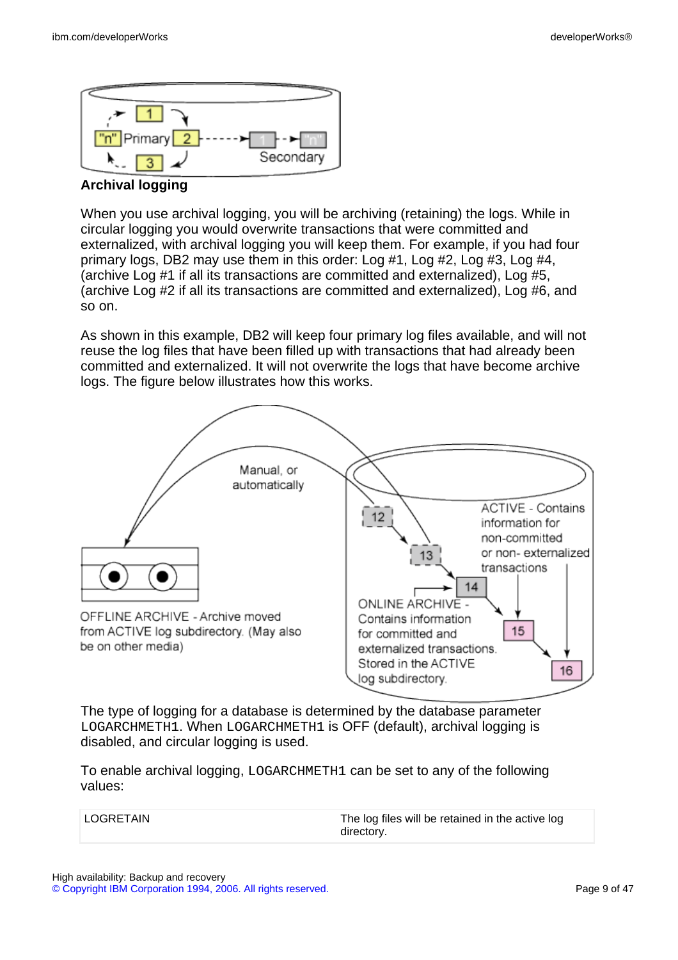

**Archival logging**

When you use archival logging, you will be archiving (retaining) the logs. While in circular logging you would overwrite transactions that were committed and externalized, with archival logging you will keep them. For example, if you had four primary logs, DB2 may use them in this order: Log #1, Log #2, Log #3, Log #4, (archive Log #1 if all its transactions are committed and externalized), Log #5, (archive Log #2 if all its transactions are committed and externalized), Log #6, and so on.

As shown in this example, DB2 will keep four primary log files available, and will not reuse the log files that have been filled up with transactions that had already been committed and externalized. It will not overwrite the logs that have become archive logs. The figure below illustrates how this works.



The type of logging for a database is determined by the database parameter LOGARCHMETH1. When LOGARCHMETH1 is OFF (default), archival logging is disabled, and circular logging is used.

To enable archival logging, LOGARCHMETH1 can be set to any of the following values:

| LOGRETAIN | The log files will be retained in the active log |
|-----------|--------------------------------------------------|
|           | directory.                                       |

High availability: Backup and recovery [© Copyright IBM Corporation 1994, 2006. All rights reserved.](http://www.ibm.com/legal/copytrade.shtml) Page 9 of 47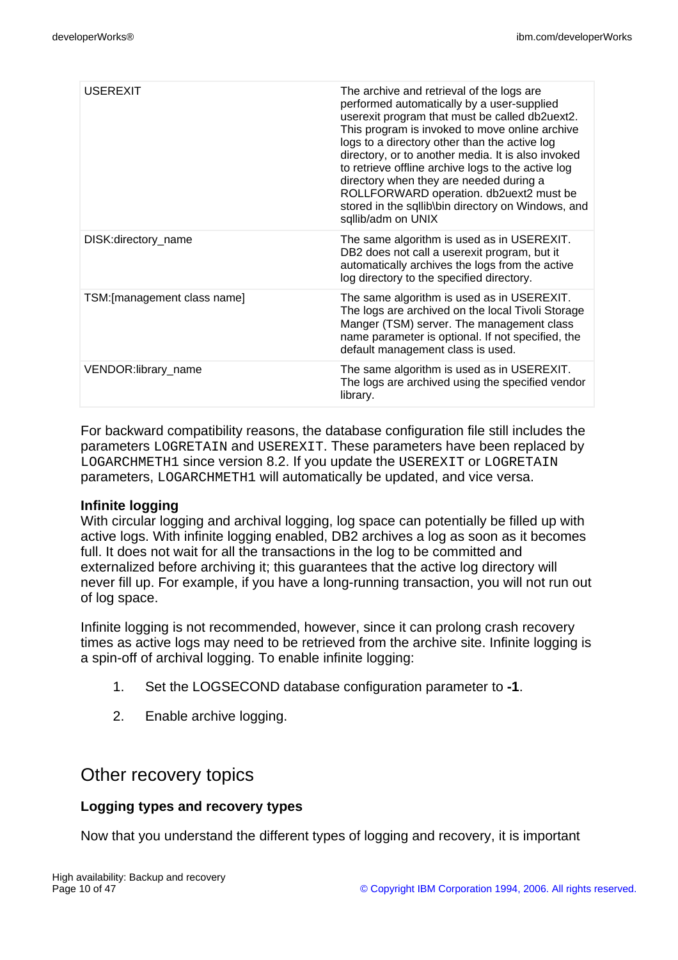| <b>USEREXIT</b>              | The archive and retrieval of the logs are<br>performed automatically by a user-supplied<br>userexit program that must be called db2uext2.<br>This program is invoked to move online archive<br>logs to a directory other than the active log<br>directory, or to another media. It is also invoked<br>to retrieve offline archive logs to the active log<br>directory when they are needed during a<br>ROLLFORWARD operation. db2uext2 must be<br>stored in the sqllib\bin directory on Windows, and<br>sqllib/adm on UNIX |
|------------------------------|----------------------------------------------------------------------------------------------------------------------------------------------------------------------------------------------------------------------------------------------------------------------------------------------------------------------------------------------------------------------------------------------------------------------------------------------------------------------------------------------------------------------------|
| DISK:directory_name          | The same algorithm is used as in USEREXIT.<br>DB2 does not call a userexit program, but it<br>automatically archives the logs from the active<br>log directory to the specified directory.                                                                                                                                                                                                                                                                                                                                 |
| TSM: [management class name] | The same algorithm is used as in USEREXIT.<br>The logs are archived on the local Tivoli Storage<br>Manger (TSM) server. The management class<br>name parameter is optional. If not specified, the<br>default management class is used.                                                                                                                                                                                                                                                                                     |
| VENDOR:library_name          | The same algorithm is used as in USEREXIT.<br>The logs are archived using the specified vendor<br>library.                                                                                                                                                                                                                                                                                                                                                                                                                 |

For backward compatibility reasons, the database configuration file still includes the parameters LOGRETAIN and USEREXIT. These parameters have been replaced by LOGARCHMETH1 since version 8.2. If you update the USEREXIT or LOGRETAIN parameters, LOGARCHMETH1 will automatically be updated, and vice versa.

#### **Infinite logging**

With circular logging and archival logging, log space can potentially be filled up with active logs. With infinite logging enabled, DB2 archives a log as soon as it becomes full. It does not wait for all the transactions in the log to be committed and externalized before archiving it; this guarantees that the active log directory will never fill up. For example, if you have a long-running transaction, you will not run out of log space.

Infinite logging is not recommended, however, since it can prolong crash recovery times as active logs may need to be retrieved from the archive site. Infinite logging is a spin-off of archival logging. To enable infinite logging:

- 1. Set the LOGSECOND database configuration parameter to **-1**.
- 2. Enable archive logging.

### Other recovery topics

#### **Logging types and recovery types**

Now that you understand the different types of logging and recovery, it is important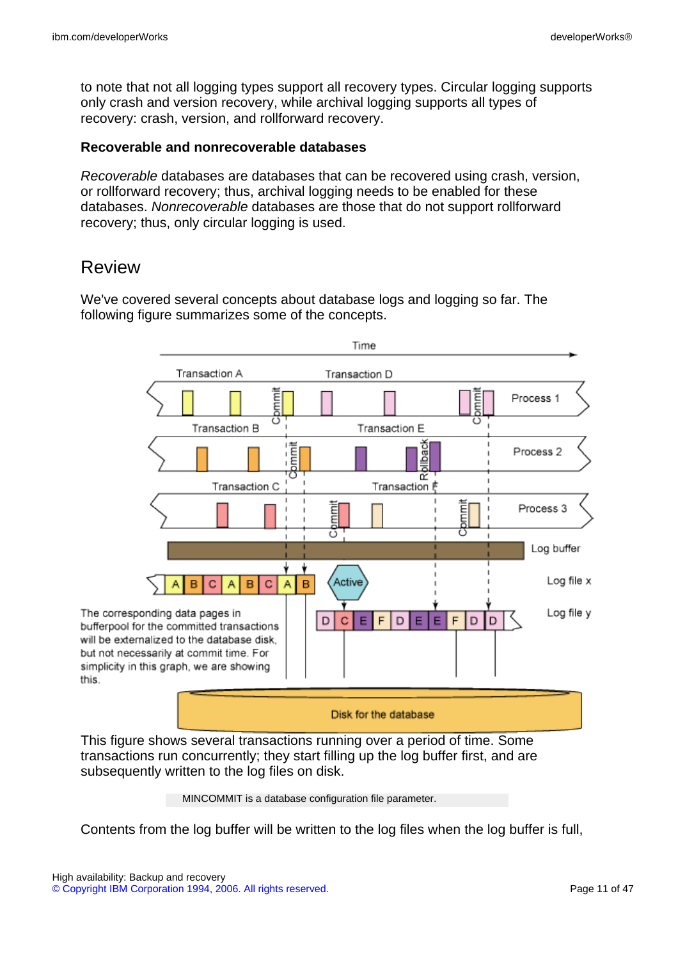to note that not all logging types support all recovery types. Circular logging supports only crash and version recovery, while archival logging supports all types of recovery: crash, version, and rollforward recovery.

#### **Recoverable and nonrecoverable databases**

Recoverable databases are databases that can be recovered using crash, version, or rollforward recovery; thus, archival logging needs to be enabled for these databases. Nonrecoverable databases are those that do not support rollforward recovery; thus, only circular logging is used.

### Review

We've covered several concepts about database logs and logging so far. The following figure summarizes some of the concepts.



This figure shows several transactions running over a period of time. Some transactions run concurrently; they start filling up the log buffer first, and are subsequently written to the log files on disk.

MINCOMMIT is a database configuration file parameter.

Contents from the log buffer will be written to the log files when the log buffer is full,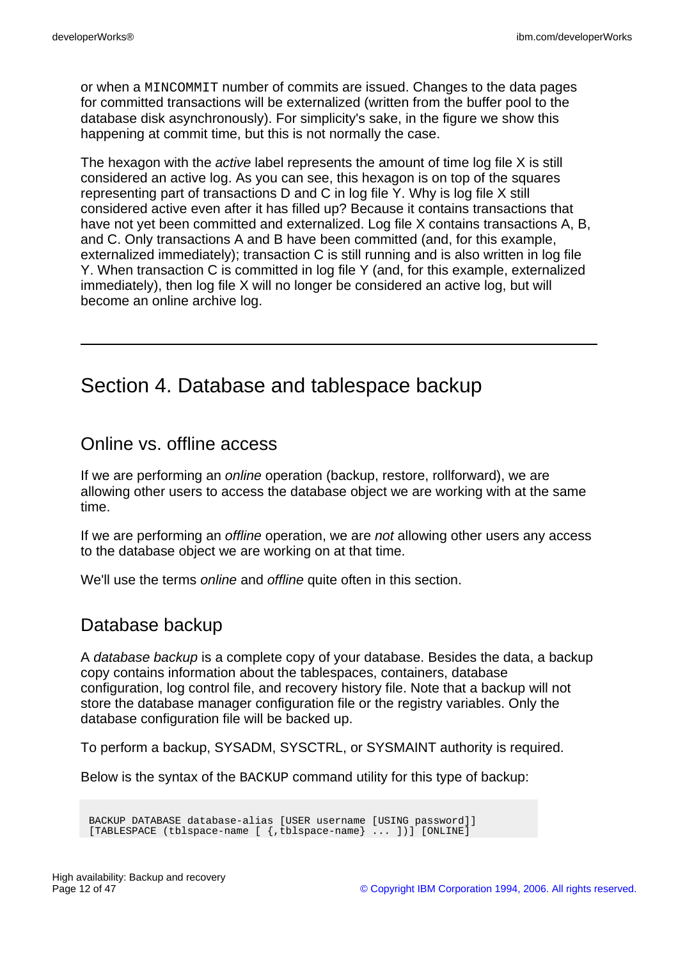or when a MINCOMMIT number of commits are issued. Changes to the data pages for committed transactions will be externalized (written from the buffer pool to the database disk asynchronously). For simplicity's sake, in the figure we show this happening at commit time, but this is not normally the case.

The hexagon with the *active* label represents the amount of time log file X is still considered an active log. As you can see, this hexagon is on top of the squares representing part of transactions D and C in log file Y. Why is log file X still considered active even after it has filled up? Because it contains transactions that have not yet been committed and externalized. Log file X contains transactions A, B, and C. Only transactions A and B have been committed (and, for this example, externalized immediately); transaction C is still running and is also written in log file Y. When transaction C is committed in log file Y (and, for this example, externalized immediately), then log file X will no longer be considered an active log, but will become an online archive log.

# Section 4. Database and tablespace backup

### Online vs. offline access

If we are performing an online operation (backup, restore, rollforward), we are allowing other users to access the database object we are working with at the same time.

If we are performing an *offline* operation, we are *not* allowing other users any access to the database object we are working on at that time.

We'll use the terms *online* and *offline* quite often in this section.

### Database backup

A database backup is a complete copy of your database. Besides the data, a backup copy contains information about the tablespaces, containers, database configuration, log control file, and recovery history file. Note that a backup will not store the database manager configuration file or the registry variables. Only the database configuration file will be backed up.

To perform a backup, SYSADM, SYSCTRL, or SYSMAINT authority is required.

Below is the syntax of the BACKUP command utility for this type of backup:

BACKUP DATABASE database-alias [USER username [USING password]] [TABLESPACE (tblspace-name [ {,tblspace-name} ... ])] [ONLINE]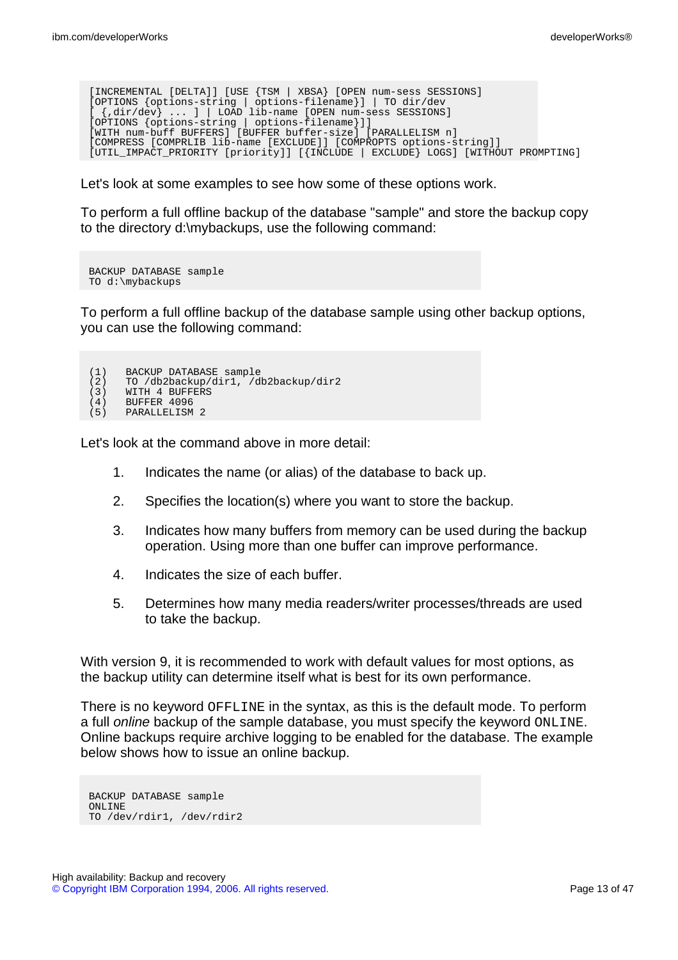[INCREMENTAL [DELTA]] [USE {TSM | XBSA} [OPEN num-sess SESSIONS] [OPTIONS {options-string | options-filename}] | TO dir/dev [ {,dir/dev} ... ] | LOAD lib-name [OPEN num-sess SESSIONS] [OPTIONS {options-string | options-filename}]] [WITH num-buff BUFFERS] [BUFFER buffer-size] [PARALLELISM n] [COMPRESS [COMPRLIB lib-name [EXCLUDE]] [COMPROPTS options-string]] [UTIL\_IMPACT\_PRIORITY [priority]] [{INCLUDE | EXCLUDE} LOGS] [WITHOUT PROMPTING]

Let's look at some examples to see how some of these options work.

To perform a full offline backup of the database "sample" and store the backup copy to the directory d:\mybackups, use the following command:

```
BACKUP DATABASE sample
TO d:\mybackups
```
To perform a full offline backup of the database sample using other backup options, you can use the following command:

```
(1) BACKUP DATABASE sample
(2) TO db2backup/dir1, db2backup/dir2<br>(3) WITH 4 BUFFERS
(3) WITH 4 BUFFERS<br>(4) BUFFER 4096
       (4) BUFFER 4096
(5) PARALLELISM 2
```
Let's look at the command above in more detail:

- 1. Indicates the name (or alias) of the database to back up.
- 2. Specifies the location(s) where you want to store the backup.
- 3. Indicates how many buffers from memory can be used during the backup operation. Using more than one buffer can improve performance.
- 4. Indicates the size of each buffer.
- 5. Determines how many media readers/writer processes/threads are used to take the backup.

With version 9, it is recommended to work with default values for most options, as the backup utility can determine itself what is best for its own performance.

There is no keyword OFFLINE in the syntax, as this is the default mode. To perform a full online backup of the sample database, you must specify the keyword ONLINE. Online backups require archive logging to be enabled for the database. The example below shows how to issue an online backup.

```
BACKUP DATABASE sample
ONLINE
TO /dev/rdir1, /dev/rdir2
```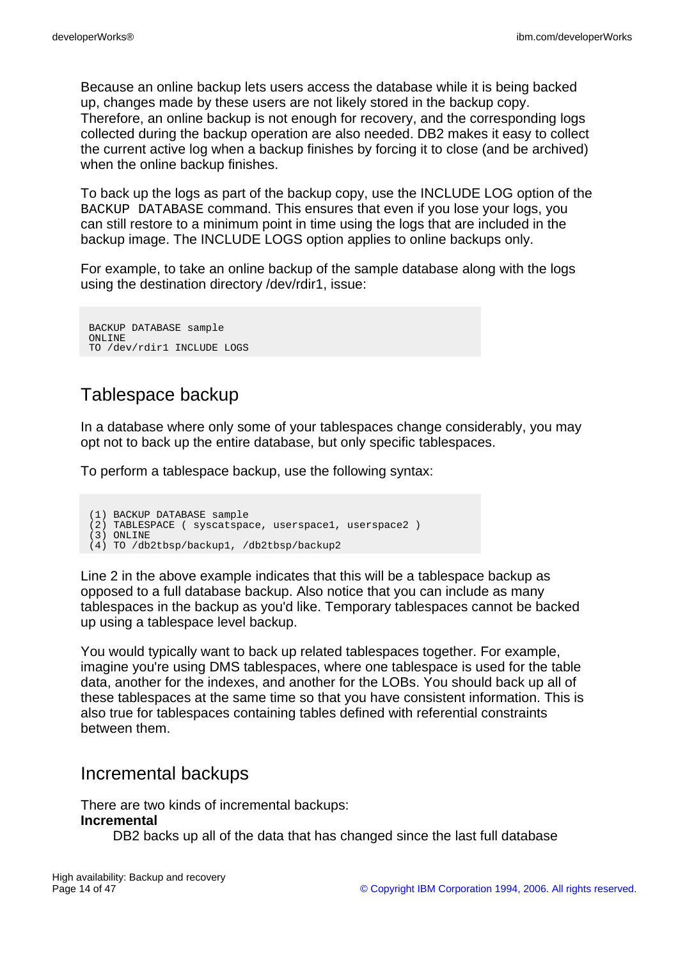Because an online backup lets users access the database while it is being backed up, changes made by these users are not likely stored in the backup copy. Therefore, an online backup is not enough for recovery, and the corresponding logs collected during the backup operation are also needed. DB2 makes it easy to collect the current active log when a backup finishes by forcing it to close (and be archived) when the online backup finishes.

To back up the logs as part of the backup copy, use the INCLUDE LOG option of the BACKUP DATABASE command. This ensures that even if you lose your logs, you can still restore to a minimum point in time using the logs that are included in the backup image. The INCLUDE LOGS option applies to online backups only.

For example, to take an online backup of the sample database along with the logs using the destination directory /dev/rdir1, issue:

```
BACKUP DATABASE sample
ONL TNE
TO /dev/rdir1 INCLUDE LOGS
```
# Tablespace backup

In a database where only some of your tablespaces change considerably, you may opt not to back up the entire database, but only specific tablespaces.

To perform a tablespace backup, use the following syntax:

```
(1) BACKUP DATABASE sample
(2) TABLESPACE ( syscatspace, userspace1, userspace2 )
(3) ONLINE
(4) TO /db2tbsp/backup1, /db2tbsp/backup2
```
Line 2 in the above example indicates that this will be a tablespace backup as opposed to a full database backup. Also notice that you can include as many tablespaces in the backup as you'd like. Temporary tablespaces cannot be backed up using a tablespace level backup.

You would typically want to back up related tablespaces together. For example, imagine you're using DMS tablespaces, where one tablespace is used for the table data, another for the indexes, and another for the LOBs. You should back up all of these tablespaces at the same time so that you have consistent information. This is also true for tablespaces containing tables defined with referential constraints between them.

### Incremental backups

#### There are two kinds of incremental backups: **Incremental**

DB2 backs up all of the data that has changed since the last full database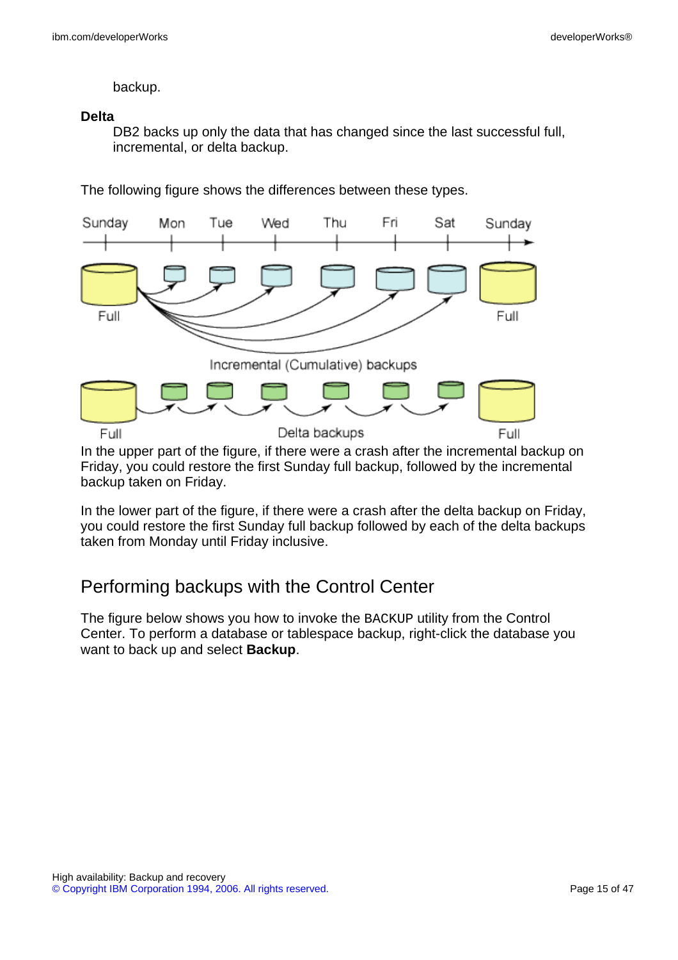#### backup.

#### **Delta**

DB2 backs up only the data that has changed since the last successful full, incremental, or delta backup.

The following figure shows the differences between these types.



In the upper part of the figure, if there were a crash after the incremental backup on Friday, you could restore the first Sunday full backup, followed by the incremental backup taken on Friday.

In the lower part of the figure, if there were a crash after the delta backup on Friday, you could restore the first Sunday full backup followed by each of the delta backups taken from Monday until Friday inclusive.

# Performing backups with the Control Center

The figure below shows you how to invoke the BACKUP utility from the Control Center. To perform a database or tablespace backup, right-click the database you want to back up and select **Backup**.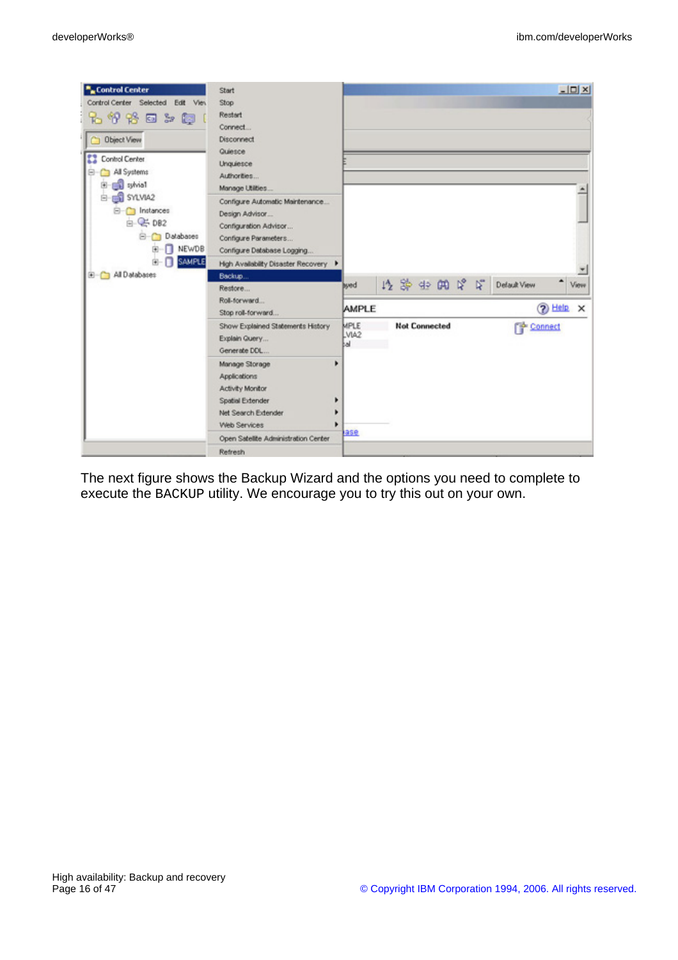

The next figure shows the Backup Wizard and the options you need to complete to execute the BACKUP utility. We encourage you to try this out on your own.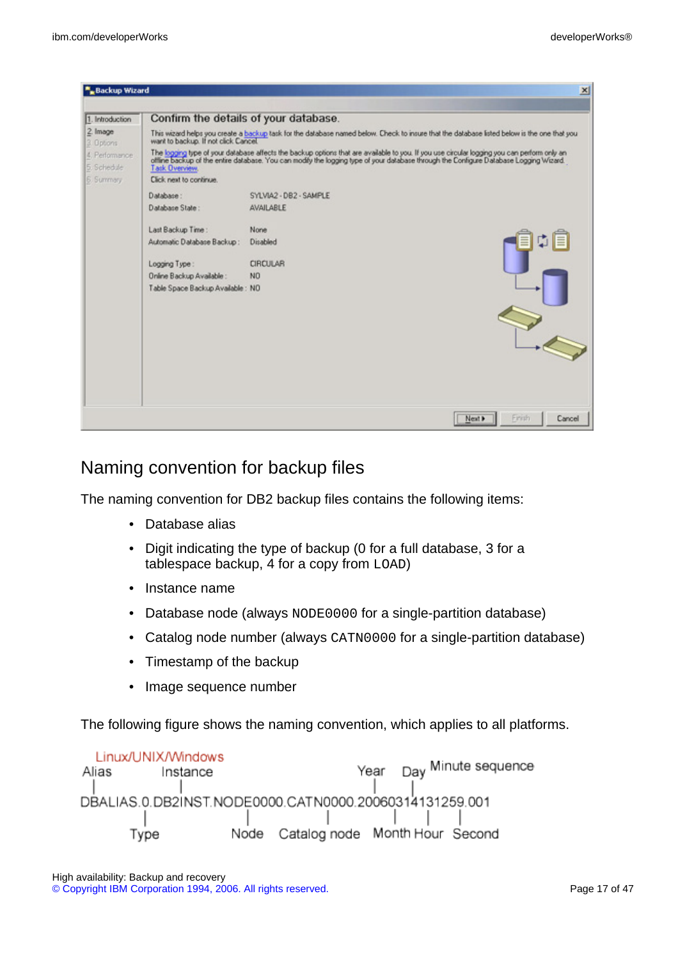| 1. Introduction               | Confirm the details of your database. |                        |                                                                                                                                                                                                                                   |
|-------------------------------|---------------------------------------|------------------------|-----------------------------------------------------------------------------------------------------------------------------------------------------------------------------------------------------------------------------------|
| 2. Image<br>3. Options        | want to backup. If not click Cancel.  |                        | This wizard helps you create a backup task for the database named below. Check to insure that the database listed below is the one that you                                                                                       |
| 4. Performance<br>5. Schedule | Tark Overview.                        |                        | The logging type of your database affects the backup options that are available to you. If you use circular logging you can perform only an<br>offine backup of the entire database. You can modify the logging type of your data |
| 6. Summary                    | Click next to continue.               |                        |                                                                                                                                                                                                                                   |
|                               | Database:                             | SYLVIA2 - DB2 - SAMPLE |                                                                                                                                                                                                                                   |
|                               | Database State:                       | AVAILABLE              |                                                                                                                                                                                                                                   |
|                               | Last Backup Time:                     | None                   |                                                                                                                                                                                                                                   |
|                               | Automatic Database Backup:            | Disabled               |                                                                                                                                                                                                                                   |
|                               | Logging Type:                         | <b>CIRCULAR</b>        |                                                                                                                                                                                                                                   |
|                               | Online Backup Available:              | NO.                    |                                                                                                                                                                                                                                   |
|                               | Table Space Backup Available : NO     |                        |                                                                                                                                                                                                                                   |
|                               |                                       |                        |                                                                                                                                                                                                                                   |
|                               |                                       |                        |                                                                                                                                                                                                                                   |
|                               |                                       |                        |                                                                                                                                                                                                                                   |
|                               |                                       |                        |                                                                                                                                                                                                                                   |
|                               |                                       |                        |                                                                                                                                                                                                                                   |

### Naming convention for backup files

The naming convention for DB2 backup files contains the following items:

- Database alias
- Digit indicating the type of backup (0 for a full database, 3 for a tablespace backup, 4 for a copy from LOAD)
- Instance name
- Database node (always NODE0000 for a single-partition database)
- Catalog node number (always CATN0000 for a single-partition database)
- Timestamp of the backup
- Image sequence number

The following figure shows the naming convention, which applies to all platforms.

Linux/UNIX/Windows Day Minute sequence Alias Instance Year DBALIAS.0.DB2INST.NODE0000.CATN0000.20060314131259.001 Catalog node Month Hour Second Node Type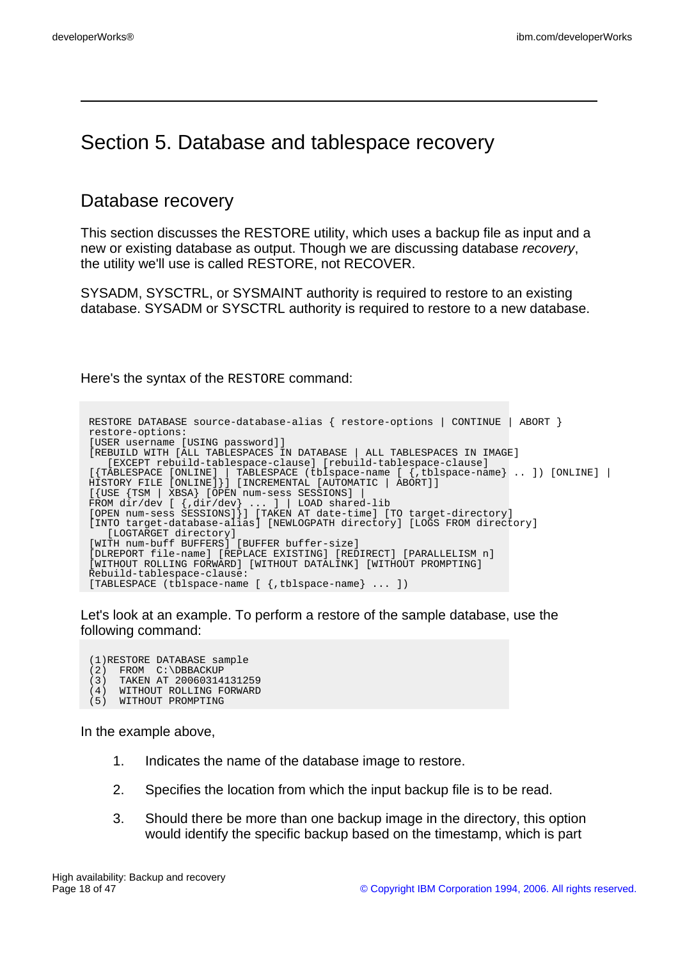# Section 5. Database and tablespace recovery

### Database recovery

This section discusses the RESTORE utility, which uses a backup file as input and a new or existing database as output. Though we are discussing database recovery, the utility we'll use is called RESTORE, not RECOVER.

SYSADM, SYSCTRL, or SYSMAINT authority is required to restore to an existing database. SYSADM or SYSCTRL authority is required to restore to a new database.

Here's the syntax of the RESTORE command:

RESTORE DATABASE source-database-alias { restore-options | CONTINUE | ABORT } restore-options: [USER username [USING password]] [REBUILD WITH [ALL TABLESPACES IN DATABASE | ALL TABLESPACES IN IMAGE] [EXCEPT rebuild-tablespace-clause] [rebuild-tablespace-clause] [{TABLESPACE [ONLINE] | TABLESPACE (tblspace-name [ {,tblspace-name} .. ]) [ONLINE] | HISTORY FILE [ONLINE]}] [INCREMENTAL [AUTOMATIC | ABORT]] [{USE {TSM | XBSA} [OPEN num-sess SESSIONS] | FROM dir/dev [ {,dir/dev} ... ] | LOAD shared-lib [OPEN num-sess SESSIONS]}] [TAKEN AT date-time] [TO target-directory] [INTO target-database-alias] [NEWLOGPATH directory] [LOGS FROM directory] [LOGTARGET directory] [WITH num-buff BUFFERS] [BUFFER buffer-size] [DLREPORT file-name] [REPLACE EXISTING] [REDIRECT] [PARALLELISM n] [WITHOUT ROLLING FORWARD] [WITHOUT DATALINK] [WITHOUT PROMPTING] Rebuild-tablespace-clause: [TABLESPACE (tblspace-name [ {,tblspace-name} ... ])

Let's look at an example. To perform a restore of the sample database, use the following command:

(1)RESTORE DATABASE sample (2) FROM C:\DBBACKUP (3) TAKEN AT 20060314131259 (4) WITHOUT ROLLING FORWARD (5) WITHOUT PROMPTING

In the example above,

- 1. Indicates the name of the database image to restore.
- 2. Specifies the location from which the input backup file is to be read.
- 3. Should there be more than one backup image in the directory, this option would identify the specific backup based on the timestamp, which is part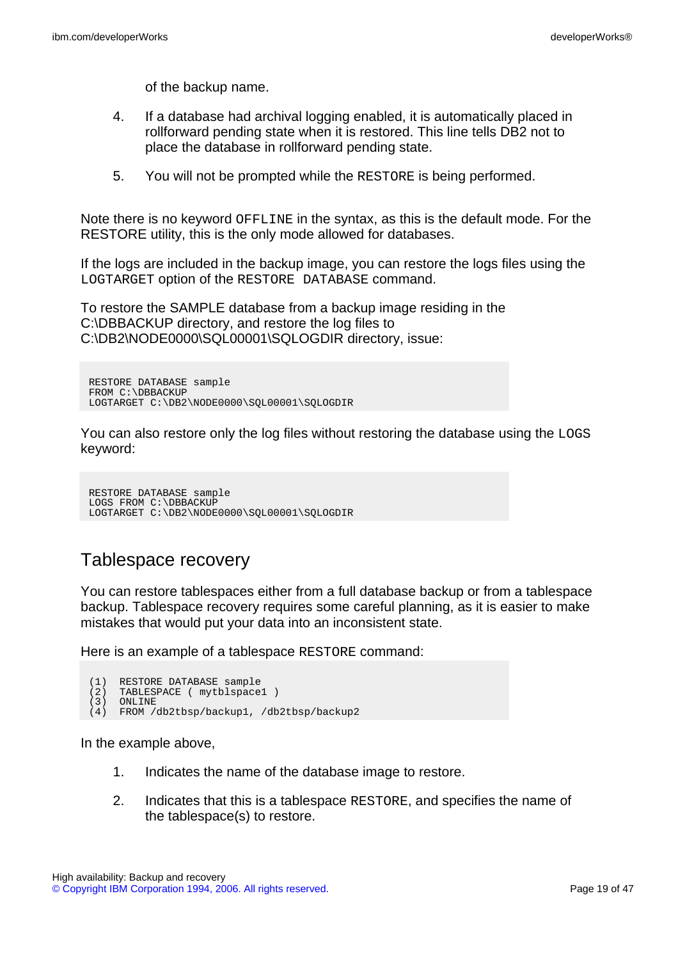of the backup name.

- 4. If a database had archival logging enabled, it is automatically placed in rollforward pending state when it is restored. This line tells DB2 not to place the database in rollforward pending state.
- 5. You will not be prompted while the RESTORE is being performed.

Note there is no keyword OFFLINE in the syntax, as this is the default mode. For the RESTORE utility, this is the only mode allowed for databases.

If the logs are included in the backup image, you can restore the logs files using the LOGTARGET option of the RESTORE DATABASE command.

To restore the SAMPLE database from a backup image residing in the C:\DBBACKUP directory, and restore the log files to C:\DB2\NODE0000\SQL00001\SQLOGDIR directory, issue:

```
RESTORE DATABASE sample
FROM C:\DBBACKUP
LOGTARGET C:\DB2\NODE0000\SQL00001\SQLOGDIR
```
You can also restore only the log files without restoring the database using the LOGS keyword:

RESTORE DATABASE sample LOGS FROM C:\DBBACKUP LOGTARGET C:\DB2\NODE0000\SQL00001\SQLOGDIR

## Tablespace recovery

You can restore tablespaces either from a full database backup or from a tablespace backup. Tablespace recovery requires some careful planning, as it is easier to make mistakes that would put your data into an inconsistent state.

Here is an example of a tablespace RESTORE command:

```
(1) RESTORE DATABASE sample<br>(2) TABLESPACE ( mytblspace
     TABLESPACE ( mytblspace1 )
(3) ONLINE
(4) FROM /db2tbsp/backup1, /db2tbsp/backup2
```
In the example above,

- 1. Indicates the name of the database image to restore.
- 2. Indicates that this is a tablespace RESTORE, and specifies the name of the tablespace(s) to restore.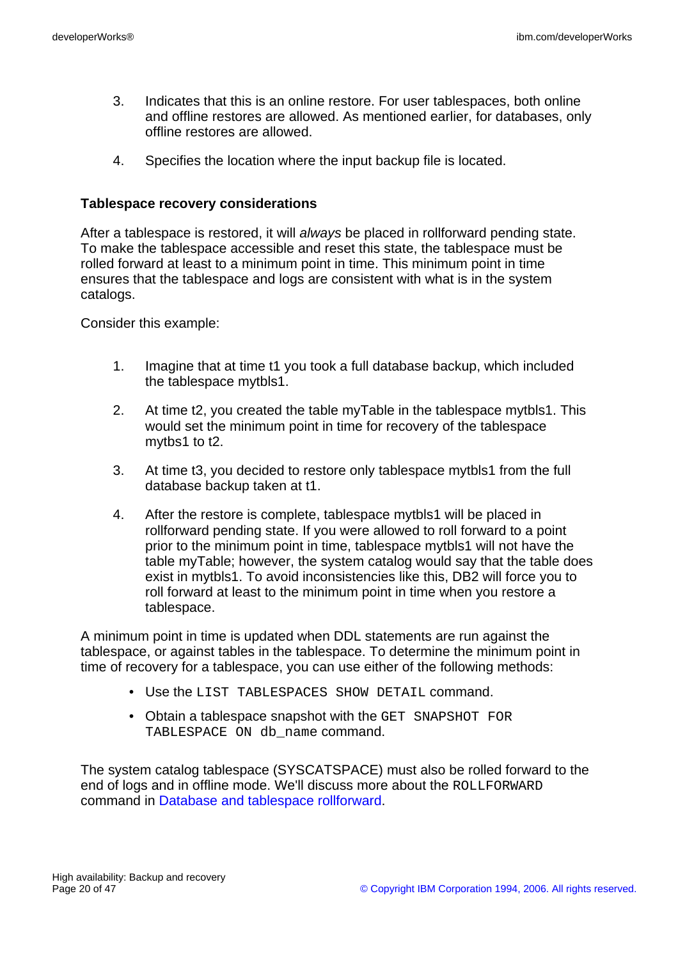- 3. Indicates that this is an online restore. For user tablespaces, both online and offline restores are allowed. As mentioned earlier, for databases, only offline restores are allowed.
- 4. Specifies the location where the input backup file is located.

#### **Tablespace recovery considerations**

After a tablespace is restored, it will always be placed in rollforward pending state. To make the tablespace accessible and reset this state, the tablespace must be rolled forward at least to a minimum point in time. This minimum point in time ensures that the tablespace and logs are consistent with what is in the system catalogs.

Consider this example:

- 1. Imagine that at time t1 you took a full database backup, which included the tablespace mytbls1.
- 2. At time t2, you created the table myTable in the tablespace mytbls1. This would set the minimum point in time for recovery of the tablespace mytbs1 to t2.
- 3. At time t3, you decided to restore only tablespace mytbls1 from the full database backup taken at t1.
- 4. After the restore is complete, tablespace mytbls1 will be placed in rollforward pending state. If you were allowed to roll forward to a point prior to the minimum point in time, tablespace mytbls1 will not have the table myTable; however, the system catalog would say that the table does exist in mytbls1. To avoid inconsistencies like this, DB2 will force you to roll forward at least to the minimum point in time when you restore a tablespace.

A minimum point in time is updated when DDL statements are run against the tablespace, or against tables in the tablespace. To determine the minimum point in time of recovery for a tablespace, you can use either of the following methods:

- Use the LIST TABLESPACES SHOW DETAIL command.
- Obtain a tablespace snapshot with the GET SNAPSHOT FOR TABLESPACE ON db\_name command.

The system catalog tablespace (SYSCATSPACE) must also be rolled forward to the end of logs and in offline mode. We'll discuss more about the ROLLFORWARD command in [Database and tablespace rollforward.](#page-25-0)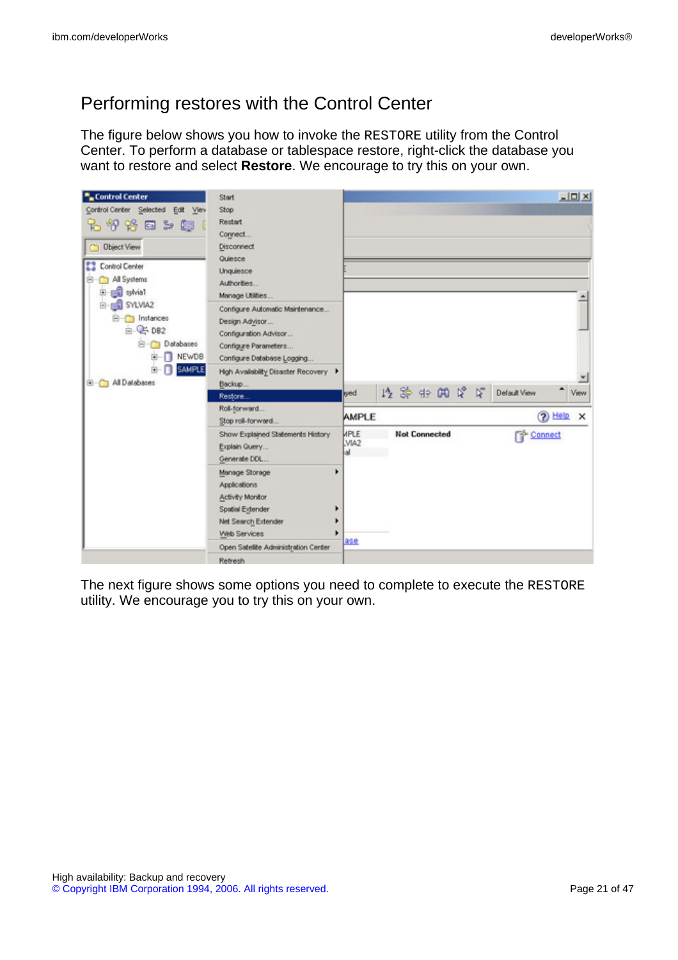# Performing restores with the Control Center

The figure below shows you how to invoke the RESTORE utility from the Control Center. To perform a database or tablespace restore, right-click the database you want to restore and select **Restore**. We encourage to try this on your own.



The next figure shows some options you need to complete to execute the RESTORE utility. We encourage you to try this on your own.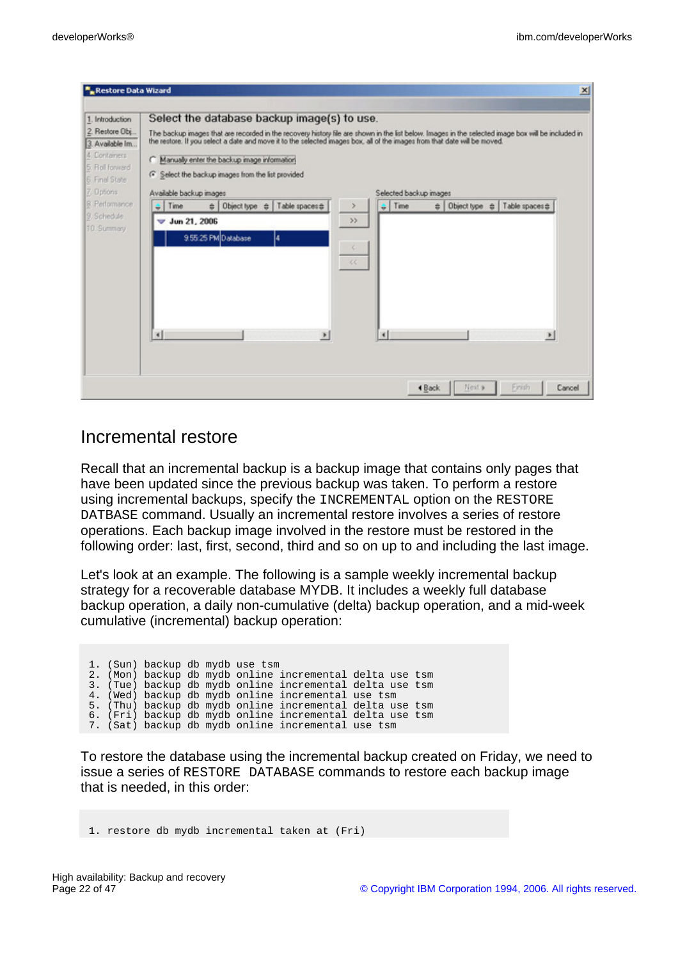| Available backup images<br>8. Performance<br>$-$ Time<br>$\oplus$ Object type $\oplus$ Table spaces $\oplus$<br>×<br>9. Schedule<br>$\sqrt{ }$ Jun 21, 2006<br>><br>10. Surrenary<br>9.55.25 PM Database<br>A<br>$\ll$ | Selected backup images<br>$=$ Time | # Object type # Table spaces# |   |
|------------------------------------------------------------------------------------------------------------------------------------------------------------------------------------------------------------------------|------------------------------------|-------------------------------|---|
|                                                                                                                                                                                                                        |                                    |                               |   |
|                                                                                                                                                                                                                        |                                    |                               |   |
|                                                                                                                                                                                                                        |                                    |                               |   |
|                                                                                                                                                                                                                        |                                    |                               |   |
|                                                                                                                                                                                                                        |                                    |                               |   |
|                                                                                                                                                                                                                        |                                    |                               |   |
|                                                                                                                                                                                                                        |                                    |                               |   |
|                                                                                                                                                                                                                        |                                    |                               |   |
| H                                                                                                                                                                                                                      | ×                                  |                               | ٠ |
|                                                                                                                                                                                                                        |                                    |                               |   |

### <span id="page-21-0"></span>Incremental restore

Recall that an incremental backup is a backup image that contains only pages that have been updated since the previous backup was taken. To perform a restore using incremental backups, specify the INCREMENTAL option on the RESTORE DATBASE command. Usually an incremental restore involves a series of restore operations. Each backup image involved in the restore must be restored in the following order: last, first, second, third and so on up to and including the last image.

Let's look at an example. The following is a sample weekly incremental backup strategy for a recoverable database MYDB. It includes a weekly full database backup operation, a daily non-cumulative (delta) backup operation, and a mid-week cumulative (incremental) backup operation:

|  | 1. (Sun) backup db mydb use tsm |  |                                                          |  |
|--|---------------------------------|--|----------------------------------------------------------|--|
|  |                                 |  | 2. (Mon) backup db mydb online incremental delta use tsm |  |
|  |                                 |  | 3. (Tue) backup db mydb online incremental delta use tsm |  |
|  |                                 |  | 4. (Wed) backup db mydb online incremental use tsm       |  |
|  |                                 |  | 5. (Thu) backup db mydb online incremental delta use tsm |  |
|  |                                 |  | 6. (Fri) backup db mydb online incremental delta use tsm |  |
|  |                                 |  | 7. (Sat) backup db mydb online incremental use tsm       |  |

To restore the database using the incremental backup created on Friday, we need to issue a series of RESTORE DATABASE commands to restore each backup image that is needed, in this order:

1. restore db mydb incremental taken at (Fri)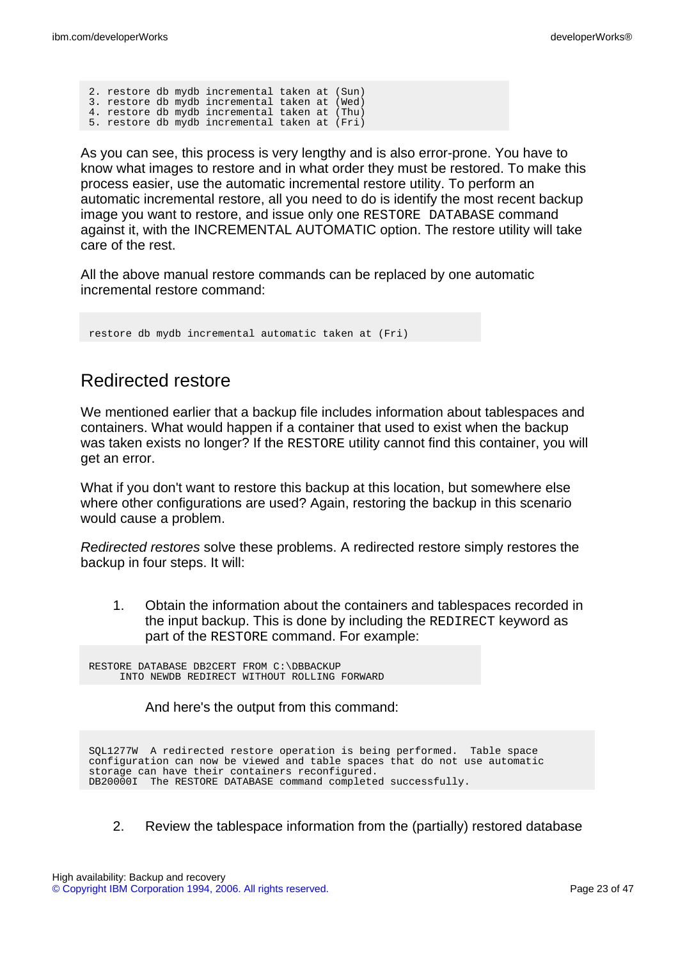|  |  | 2. restore db mydb incremental taken at (Sun) |  |  |
|--|--|-----------------------------------------------|--|--|
|  |  | 3. restore db mydb incremental taken at (Wed) |  |  |
|  |  | 4. restore db mydb incremental taken at (Thu) |  |  |
|  |  | 5. restore db mydb incremental taken at (Fri) |  |  |

As you can see, this process is very lengthy and is also error-prone. You have to know what images to restore and in what order they must be restored. To make this process easier, use the automatic incremental restore utility. To perform an automatic incremental restore, all you need to do is identify the most recent backup image you want to restore, and issue only one RESTORE DATABASE command against it, with the INCREMENTAL AUTOMATIC option. The restore utility will take care of the rest.

All the above manual restore commands can be replaced by one automatic incremental restore command:

restore db mydb incremental automatic taken at (Fri)

### Redirected restore

We mentioned earlier that a backup file includes information about tablespaces and containers. What would happen if a container that used to exist when the backup was taken exists no longer? If the RESTORE utility cannot find this container, you will get an error.

What if you don't want to restore this backup at this location, but somewhere else where other configurations are used? Again, restoring the backup in this scenario would cause a problem.

Redirected restores solve these problems. A redirected restore simply restores the backup in four steps. It will:

1. Obtain the information about the containers and tablespaces recorded in the input backup. This is done by including the REDIRECT keyword as part of the RESTORE command. For example:

RESTORE DATABASE DB2CERT FROM C:\DBBACKUP INTO NEWDB REDIRECT WITHOUT ROLLING FORWARD

And here's the output from this command:

SQL1277W A redirected restore operation is being performed. Table space configuration can now be viewed and table spaces that do not use automatic storage can have their containers reconfigured. DB20000I The RESTORE DATABASE command completed successfully.

2. Review the tablespace information from the (partially) restored database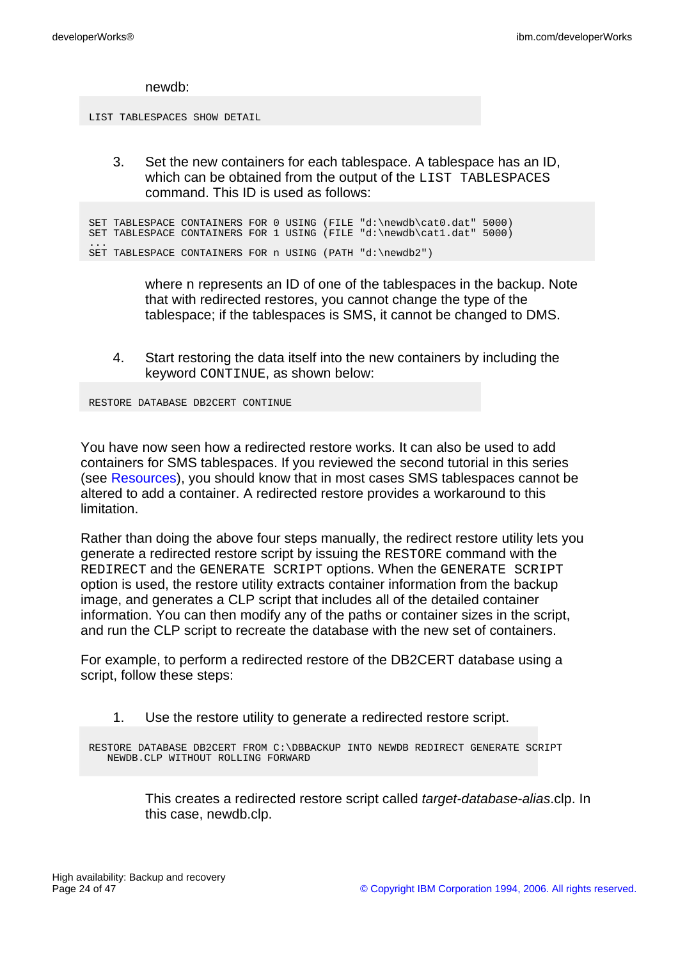newdb:

LIST TABLESPACES SHOW DETAIL

3. Set the new containers for each tablespace. A tablespace has an ID, which can be obtained from the output of the LIST TABLESPACES command. This ID is used as follows:

SET TABLESPACE CONTAINERS FOR 0 USING (FILE "d:\newdb\cat0.dat" 5000) SET TABLESPACE CONTAINERS FOR 1 USING (FILE "d:\newdb\cat1.dat" 5000) ... SET TABLESPACE CONTAINERS FOR n USING (PATH "d:\newdb2")

> where n represents an ID of one of the tablespaces in the backup. Note that with redirected restores, you cannot change the type of the tablespace; if the tablespaces is SMS, it cannot be changed to DMS.

4. Start restoring the data itself into the new containers by including the keyword CONTINUE, as shown below:

RESTORE DATABASE DB2CERT CONTINUE

You have now seen how a redirected restore works. It can also be used to add containers for SMS tablespaces. If you reviewed the second tutorial in this series (see [Resources\)](#page-45-1), you should know that in most cases SMS tablespaces cannot be altered to add a container. A redirected restore provides a workaround to this limitation.

Rather than doing the above four steps manually, the redirect restore utility lets you generate a redirected restore script by issuing the RESTORE command with the REDIRECT and the GENERATE SCRIPT options. When the GENERATE SCRIPT option is used, the restore utility extracts container information from the backup image, and generates a CLP script that includes all of the detailed container information. You can then modify any of the paths or container sizes in the script, and run the CLP script to recreate the database with the new set of containers.

For example, to perform a redirected restore of the DB2CERT database using a script, follow these steps:

1. Use the restore utility to generate a redirected restore script.

RESTORE DATABASE DB2CERT FROM C:\DBBACKUP INTO NEWDB REDIRECT GENERATE SCRIPT NEWDB.CLP WITHOUT ROLLING FORWARD

> This creates a redirected restore script called target-database-alias.clp. In this case, newdb.clp.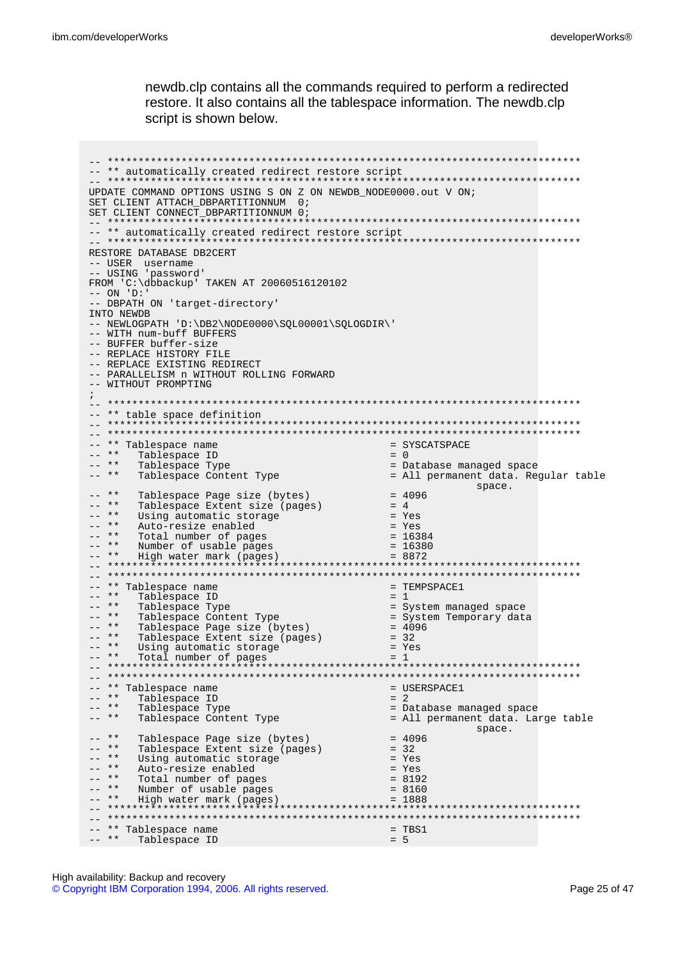newdb.clp contains all the commands required to perform a redirected restore. It also contains all the tablespace information. The newdb.clp script is shown below.

```
-- *****************************************************************************
-- ** automatically created redirect restore script
-- *****************************************************************************
UPDATE COMMAND OPTIONS USING S ON Z ON NEWDB_NODE0000.out V ON;
SET CLIENT ATTACH_DBPARTITIONNUM 0;
SET CLIENT CONNECT_DBPARTITIONNUM 0;
-- *****************************************************************************
-- ** automatically created redirect restore script
 -- *****************************************************************************
RESTORE DATABASE DB2CERT
-- USER username
-- USING 'password'
FROM 'C:\dbbackup' TAKEN AT 20060516120102
-- ON 'D:'
-- DBPATH ON 'target-directory'
INTO NEWDB
-- NEWLOGPATH 'D:\DB2\NODE0000\SQL00001\SQLOGDIR\'
-- WITH num-buff BUFFERS
-- BUFFER buffer-size
-- REPLACE HISTORY FILE
-- REPLACE EXISTING REDIRECT
-- PARALLELISM n WITHOUT ROLLING FORWARD
-- WITHOUT PROMPTING
;
-- *****************************************************************************
-- ** table space definition
-- *****************************************************************************
-- *****************************************************************************
-- ** Tablespace name<br>-- ** Tablespace ID
-- ** Tablespace ID<br>-- ** Tablespace Type
-- ** Tablespace Type = Database managed space
                                                - All permanent data. Regular table
                                                          space.
-- ** Tablespace Page size (bytes) = 4096
-- ** Tablespace Extent size (pages) = 4
-- ** Using automatic storage = \frac{1}{2} = Yes
-- ** Auto-resize enabled = Yes
-- ** Total number of pages = 16384-- ** Number of usable pages = 16380-- ** High water mark (pages) = 8872
-- *****************************************************************************
-- *****************************************************************************
-- ** Tablespace name = T<br>-- ** Tablespace ID = 1
-- ** Tablespace ID = 1-- ** Tablespace Type = System managed space
-- ** Tablespace Content Type - = System Temporary data
-- ** Tablespace Page size (bytes) = 4096
-- ** Tablespace Extent size (pages) = 32
-- ** Using automatic storage = \frac{1}{2} = Yes
-- ** Total number of pages = 1-- *****************************************************************************
-- *****************************************************************************
-- ** Tablespace name<br>-- ** Tablespace ID
-- ** Tablespace ID<br>-- ** Tablespace Type
-- ** Tablespace Type - - + Database managed space
-- ** Tablespace Content Type \qquad \qquad = All permanent data. Large table
                                                            space.
-- ** Tablespace Page size (bytes) = 4096<br>-- ** Tablespace Extent size (pages) = 32
-- ** Tablespace Extent size (pages) = 32<br>-- ** Using automatic storage = 32
-- ** Using automatic storage = Yes<br>-- ** Auto-resize enabled = Yes
-- ** Auto-resize enabled = Yes = Yes = Yes = Yes = Yes = Yes = Yes = Yes = Yes = Yes = Yes = Yes = Yes = Yes = Yes = Yes = Yes = Yes = Yes = Yes = Yes = Yes = Yes = Yes = Yes = Yes = Yes = Yes = Yes = Yes = Yes = Yes = Ye
-- ** Total number of pages = 8192<br>-- ** Number of usable pages = 8160
      Number of usable pages
-- ** High water mark (pages) = 1888
-- *****************************************************************************
-- *****************************************************************************
-- ** Tablespace name = TE<br>-- ** Tablespace ID = 5
-- ** Tablespace ID
```
High availability: Backup and recovery [© Copyright IBM Corporation 1994, 2006. All rights reserved.](http://www.ibm.com/legal/copytrade.shtml) Page 25 of 47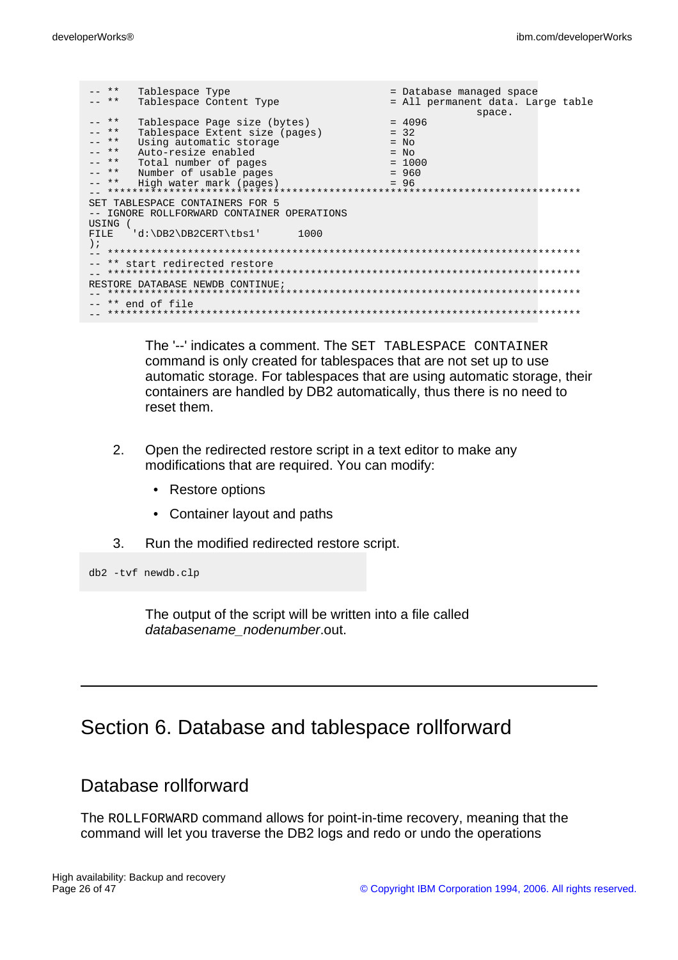| $- - * *$     | Tablespace Type                            | = Database managed space                    |
|---------------|--------------------------------------------|---------------------------------------------|
| $- - * *$     | Tablespace Content Type                    | = All permanent data. Large table<br>space. |
| $- - * *$     | Tablespace Page size (bytes)               | $= 4096$                                    |
| $- - * *$     | Tablespace Extent size (pages)             | $= 32$                                      |
| $- - * *$     | Using automatic storage                    | $= NQ$                                      |
| $- - * *$     | Auto-resize enabled                        | $= NQ$                                      |
| $--***$       | Total number of pages                      | $= 1000$                                    |
|               | -- ** Number of usable pages               | $= 960$                                     |
| $--$ **       | High water mark (pages)                    | $= 96$                                      |
|               |                                            |                                             |
|               | SET TABLESPACE CONTAINERS FOR 5            |                                             |
| $- -$         | IGNORE ROLLFORWARD CONTAINER OPERATIONS    |                                             |
| USING (       |                                            |                                             |
|               | $FILE$ $'d:\DB2\DB2CERT\thinspace$<br>1000 |                                             |
| $\rightarrow$ |                                            |                                             |
|               |                                            |                                             |
|               | ** start redirected restore                |                                             |
|               |                                            |                                             |
|               | RESTORE DATABASE NEWDB CONTINUE;           |                                             |
|               |                                            |                                             |
|               | $--$ ** end of file                        |                                             |
|               |                                            |                                             |
|               |                                            |                                             |

The '--' indicates a comment. The SET TABLESPACE CONTAINER command is only created for tablespaces that are not set up to use automatic storage. For tablespaces that are using automatic storage, their containers are handled by DB2 automatically, thus there is no need to reset them.

- 2. Open the redirected restore script in a text editor to make any modifications that are required. You can modify:
	- Restore options
	- Container layout and paths
- 3. Run the modified redirected restore script.

db2 -tvf newdb.clp

The output of the script will be written into a file called databasename\_nodenumber.out.

# <span id="page-25-0"></span>Section 6. Database and tablespace rollforward

### Database rollforward

The ROLLFORWARD command allows for point-in-time recovery, meaning that the command will let you traverse the DB2 logs and redo or undo the operations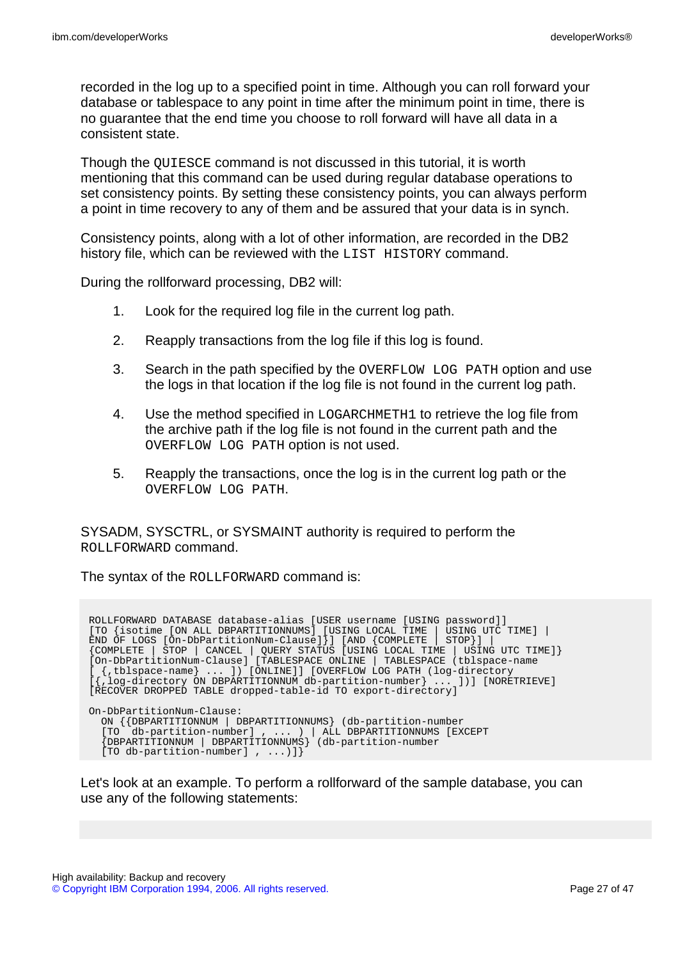recorded in the log up to a specified point in time. Although you can roll forward your database or tablespace to any point in time after the minimum point in time, there is no guarantee that the end time you choose to roll forward will have all data in a consistent state.

Though the QUIESCE command is not discussed in this tutorial, it is worth mentioning that this command can be used during regular database operations to set consistency points. By setting these consistency points, you can always perform a point in time recovery to any of them and be assured that your data is in synch.

Consistency points, along with a lot of other information, are recorded in the DB2 history file, which can be reviewed with the LIST HISTORY command.

During the rollforward processing, DB2 will:

- 1. Look for the required log file in the current log path.
- 2. Reapply transactions from the log file if this log is found.
- 3. Search in the path specified by the OVERFLOW LOG PATH option and use the logs in that location if the log file is not found in the current log path.
- 4. Use the method specified in LOGARCHMETH1 to retrieve the log file from the archive path if the log file is not found in the current path and the OVERFLOW LOG PATH option is not used.
- 5. Reapply the transactions, once the log is in the current log path or the OVERFLOW LOG PATH.

SYSADM, SYSCTRL, or SYSMAINT authority is required to perform the ROLLFORWARD command.

The syntax of the ROLLFORWARD command is:

ROLLFORWARD DATABASE database-alias [USER username [USING password]] [TO {isotime [ON ALL DBPARTITIONNUMS] [USING LOCAL TIME | USING UTC TIME] | END OF LOGS [On-DbPartitionNum-Clause]}] [AND {COMPLETE | STOP}] | {COMPLETE | STOP | CANCEL | QUERY STATUS [USING LOCAL TIME | USING UTC TIME]} [On-DbPartitionNum-Clause] [TABLESPACE ONLINE | TABLESPACE (tblspace-name [ {,tblspace-name} ... ]) [ONLINE]] [OVERFLOW LOG PATH (log-directory [{,log-directory ON DBPARTITIONNUM db-partition-number} ... ])] [NORETRIEVE] [RECOVER DROPPED TABLE dropped-table-id TO export-directory] On-DbPartitionNum-Clause: ON {{DBPARTITIONNUM | DBPARTITIONNUMS} (db-partition-number [TO db-partition-number] , ... ) | ALL DBPARTITIONNUMS [EXCEPT {DBPARTITIONNUM | DBPARTITIONNUMS} (db-partition-number  $[TO db-partition-number]$ , ...)]

Let's look at an example. To perform a rollforward of the sample database, you can use any of the following statements: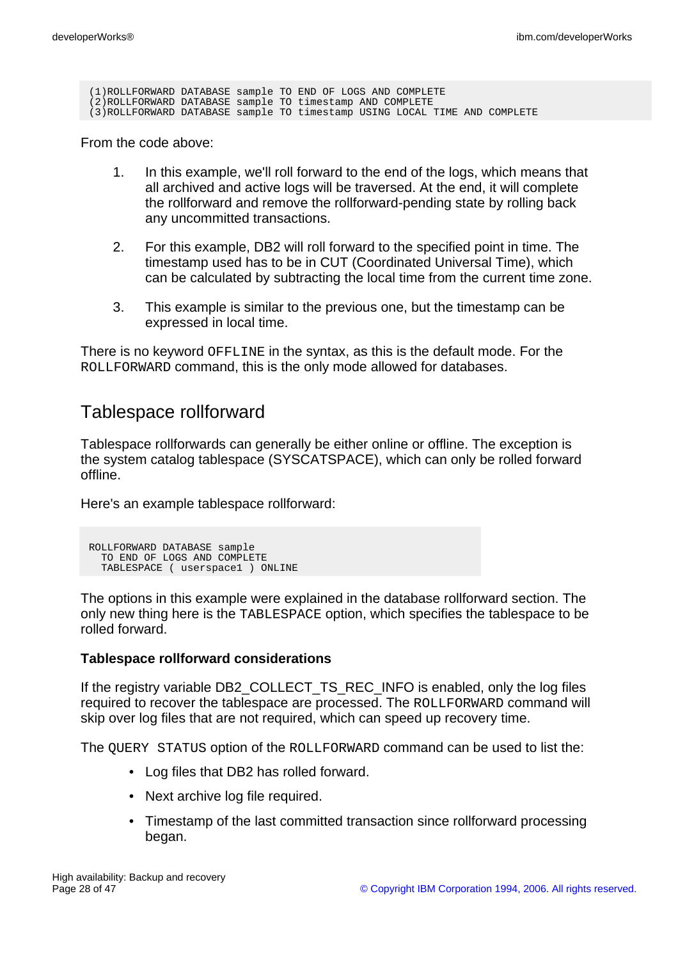(1)ROLLFORWARD DATABASE sample TO END OF LOGS AND COMPLETE (2)ROLLFORWARD DATABASE sample TO timestamp AND COMPLETE (3)ROLLFORWARD DATABASE sample TO timestamp USING LOCAL TIME AND COMPLETE

From the code above:

- 1. In this example, we'll roll forward to the end of the logs, which means that all archived and active logs will be traversed. At the end, it will complete the rollforward and remove the rollforward-pending state by rolling back any uncommitted transactions.
- 2. For this example, DB2 will roll forward to the specified point in time. The timestamp used has to be in CUT (Coordinated Universal Time), which can be calculated by subtracting the local time from the current time zone.
- 3. This example is similar to the previous one, but the timestamp can be expressed in local time.

There is no keyword OFFLINE in the syntax, as this is the default mode. For the ROLLFORWARD command, this is the only mode allowed for databases.

### Tablespace rollforward

Tablespace rollforwards can generally be either online or offline. The exception is the system catalog tablespace (SYSCATSPACE), which can only be rolled forward offline.

Here's an example tablespace rollforward:

```
ROLLFORWARD DATABASE sample
  TO END OF LOGS AND COMPLETE
  TABLESPACE ( userspace1 ) ONLINE
```
The options in this example were explained in the database rollforward section. The only new thing here is the TABLESPACE option, which specifies the tablespace to be rolled forward.

#### **Tablespace rollforward considerations**

If the registry variable DB2\_COLLECT\_TS\_REC\_INFO is enabled, only the log files required to recover the tablespace are processed. The ROLLFORWARD command will skip over log files that are not required, which can speed up recovery time.

The QUERY STATUS option of the ROLLFORWARD command can be used to list the:

- Log files that DB2 has rolled forward.
- Next archive log file required.
- Timestamp of the last committed transaction since rollforward processing began.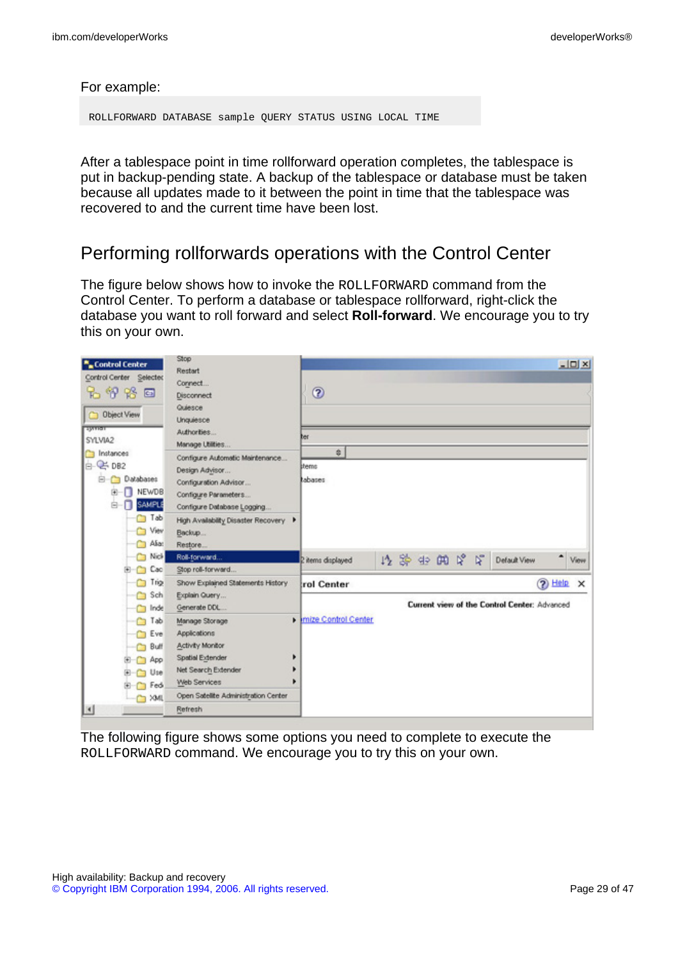#### For example:

ROLLFORWARD DATABASE sample QUERY STATUS USING LOCAL TIME

After a tablespace point in time rollforward operation completes, the tablespace is put in backup-pending state. A backup of the tablespace or database must be taken because all updates made to it between the point in time that the tablespace was recovered to and the current time have been lost.

### Performing rollforwards operations with the Control Center

The figure below shows how to invoke the ROLLFORWARD command from the Control Center. To perform a database or tablespace rollforward, right-click the database you want to roll forward and select **Roll-forward**. We encourage you to try this on your own.



The following figure shows some options you need to complete to execute the ROLLFORWARD command. We encourage you to try this on your own.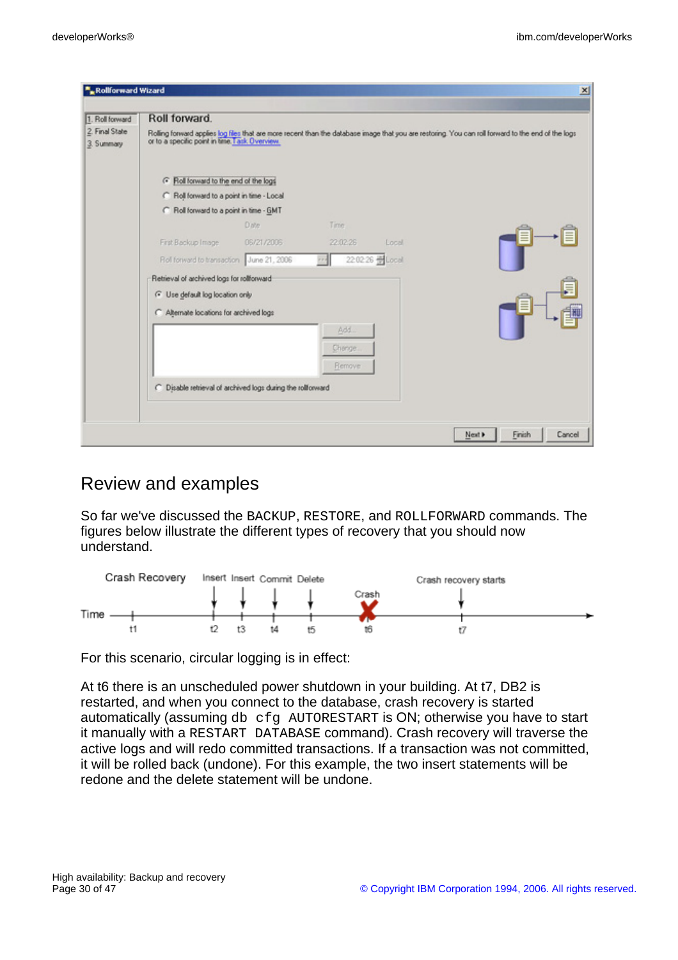| 1. Roll forward              | Roll forward.                                               |            |               |                 |                                                                                                                                                    |
|------------------------------|-------------------------------------------------------------|------------|---------------|-----------------|----------------------------------------------------------------------------------------------------------------------------------------------------|
| 2. Final State<br>3. Summary | or to a specific point in time. Task, Overview.             |            |               |                 | Rolling forward applies log files that are more recent than the database image that you are restoring. You can roll forward to the end of the logs |
|                              | (Find forward to the end of the logs                        |            |               |                 |                                                                                                                                                    |
|                              | C Roll forward to a point in time - Local                   |            |               |                 |                                                                                                                                                    |
|                              | C Roll forward to a point in time - GMT                     |            |               |                 |                                                                                                                                                    |
|                              |                                                             | Date:      | Time          |                 |                                                                                                                                                    |
|                              | First Backup Image                                          | 06/21/2006 | 22:02:26      | Local           |                                                                                                                                                    |
|                              | Roll forward to transaction June 21, 2006                   |            |               | 22:02:26 子Local |                                                                                                                                                    |
|                              | Retrieval of archived logs for rollforward                  |            |               |                 |                                                                                                                                                    |
|                              | G Use default log location only                             |            |               |                 |                                                                                                                                                    |
|                              | C Alternate locations for archived logs                     |            |               |                 |                                                                                                                                                    |
|                              |                                                             |            | Add.          |                 |                                                                                                                                                    |
|                              |                                                             |            | Chenge.       |                 |                                                                                                                                                    |
|                              |                                                             |            | <b>Remove</b> |                 |                                                                                                                                                    |
|                              | C Disable retrieval of archived logs during the rollforward |            |               |                 |                                                                                                                                                    |
|                              |                                                             |            |               |                 |                                                                                                                                                    |

### Review and examples

So far we've discussed the BACKUP, RESTORE, and ROLLFORWARD commands. The figures below illustrate the different types of recovery that you should now understand.



For this scenario, circular logging is in effect:

At t6 there is an unscheduled power shutdown in your building. At t7, DB2 is restarted, and when you connect to the database, crash recovery is started automatically (assuming db cfg AUTORESTART is ON; otherwise you have to start it manually with a RESTART DATABASE command). Crash recovery will traverse the active logs and will redo committed transactions. If a transaction was not committed, it will be rolled back (undone). For this example, the two insert statements will be redone and the delete statement will be undone.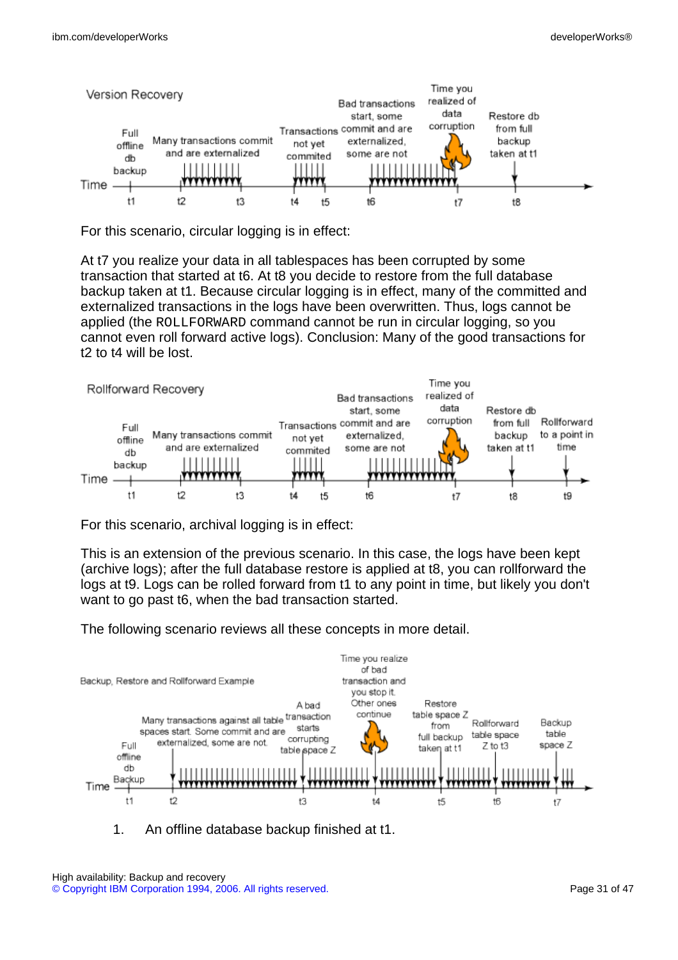

For this scenario, circular logging is in effect:

At t7 you realize your data in all tablespaces has been corrupted by some transaction that started at t6. At t8 you decide to restore from the full database backup taken at t1. Because circular logging is in effect, many of the committed and externalized transactions in the logs have been overwritten. Thus, logs cannot be applied (the ROLLFORWARD command cannot be run in circular logging, so you cannot even roll forward active logs). Conclusion: Many of the good transactions for t2 to t4 will be lost.



For this scenario, archival logging is in effect:

This is an extension of the previous scenario. In this case, the logs have been kept (archive logs); after the full database restore is applied at t8, you can rollforward the logs at t9. Logs can be rolled forward from t1 to any point in time, but likely you don't want to go past t6, when the bad transaction started.

The following scenario reviews all these concepts in more detail.



1. An offline database backup finished at t1.

High availability: Backup and recovery [© Copyright IBM Corporation 1994, 2006. All rights reserved.](http://www.ibm.com/legal/copytrade.shtml) Page 31 of 47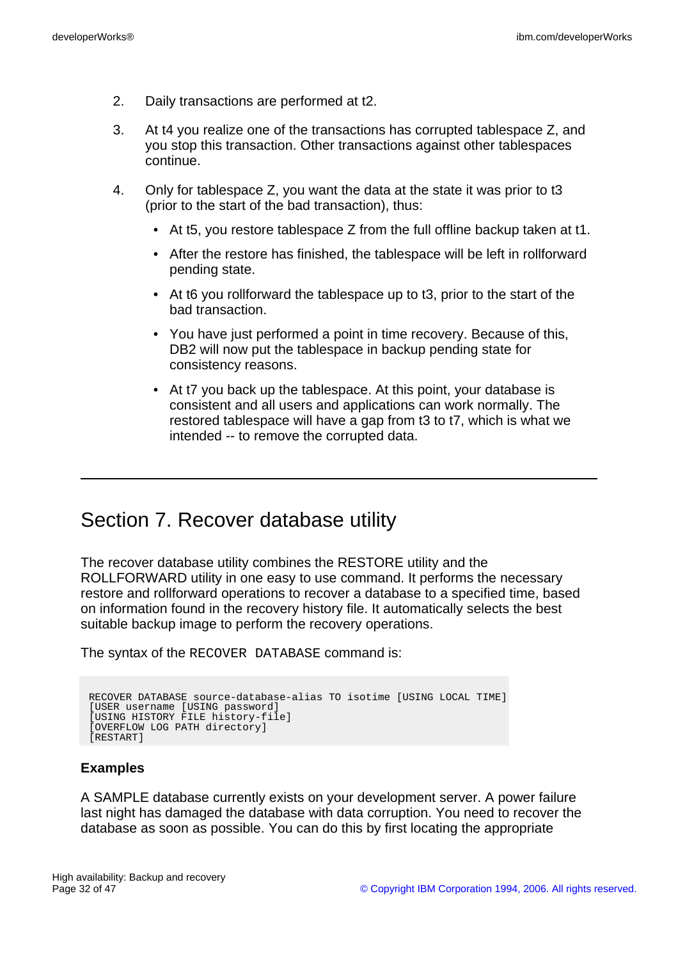- 2. Daily transactions are performed at t2.
- 3. At t4 you realize one of the transactions has corrupted tablespace Z, and you stop this transaction. Other transactions against other tablespaces continue.
- 4. Only for tablespace Z, you want the data at the state it was prior to t3 (prior to the start of the bad transaction), thus:
	- At t5, you restore tablespace Z from the full offline backup taken at t1.
	- After the restore has finished, the tablespace will be left in rollforward pending state.
	- At t6 you rollforward the tablespace up to t3, prior to the start of the bad transaction.
	- You have just performed a point in time recovery. Because of this, DB2 will now put the tablespace in backup pending state for consistency reasons.
	- At t7 you back up the tablespace. At this point, your database is consistent and all users and applications can work normally. The restored tablespace will have a gap from t3 to t7, which is what we intended -- to remove the corrupted data.

# Section 7. Recover database utility

The recover database utility combines the RESTORE utility and the ROLLFORWARD utility in one easy to use command. It performs the necessary restore and rollforward operations to recover a database to a specified time, based on information found in the recovery history file. It automatically selects the best suitable backup image to perform the recovery operations.

The syntax of the RECOVER DATABASE command is:

```
RECOVER DATABASE source-database-alias TO isotime [USING LOCAL TIME]
[USER username [USING password]
[USING HISTORY FILE history-file]
[OVERFLOW LOG PATH directory]
[RESTART]
```
#### **Examples**

A SAMPLE database currently exists on your development server. A power failure last night has damaged the database with data corruption. You need to recover the database as soon as possible. You can do this by first locating the appropriate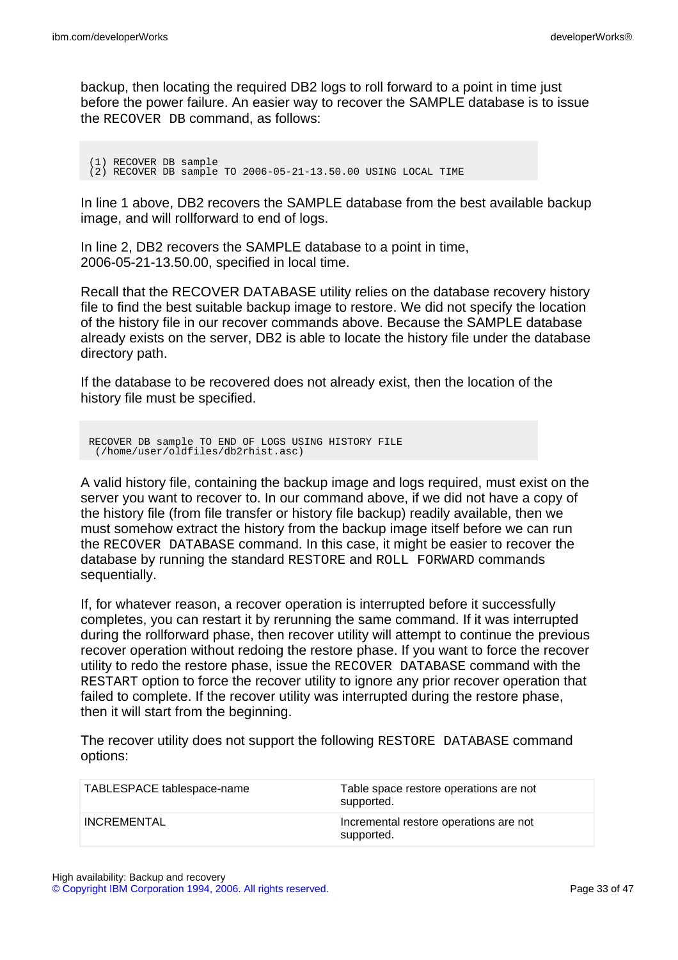backup, then locating the required DB2 logs to roll forward to a point in time just before the power failure. An easier way to recover the SAMPLE database is to issue the RECOVER DB command, as follows:

(1) RECOVER DB sample (2) RECOVER DB sample TO 2006-05-21-13.50.00 USING LOCAL TIME

In line 1 above, DB2 recovers the SAMPLE database from the best available backup image, and will rollforward to end of logs.

In line 2, DB2 recovers the SAMPLE database to a point in time, 2006-05-21-13.50.00, specified in local time.

Recall that the RECOVER DATABASE utility relies on the database recovery history file to find the best suitable backup image to restore. We did not specify the location of the history file in our recover commands above. Because the SAMPLE database already exists on the server, DB2 is able to locate the history file under the database directory path.

If the database to be recovered does not already exist, then the location of the history file must be specified.

```
RECOVER DB sample TO END OF LOGS USING HISTORY FILE
 (/home/user/oldfiles/db2rhist.asc)
```
A valid history file, containing the backup image and logs required, must exist on the server you want to recover to. In our command above, if we did not have a copy of the history file (from file transfer or history file backup) readily available, then we must somehow extract the history from the backup image itself before we can run the RECOVER DATABASE command. In this case, it might be easier to recover the database by running the standard RESTORE and ROLL FORWARD commands sequentially.

If, for whatever reason, a recover operation is interrupted before it successfully completes, you can restart it by rerunning the same command. If it was interrupted during the rollforward phase, then recover utility will attempt to continue the previous recover operation without redoing the restore phase. If you want to force the recover utility to redo the restore phase, issue the RECOVER DATABASE command with the RESTART option to force the recover utility to ignore any prior recover operation that failed to complete. If the recover utility was interrupted during the restore phase, then it will start from the beginning.

The recover utility does not support the following RESTORE DATABASE command options:

| TABLESPACE tablespace-name | Table space restore operations are not<br>supported. |
|----------------------------|------------------------------------------------------|
| <b>INCREMENTAL</b>         | Incremental restore operations are not<br>supported. |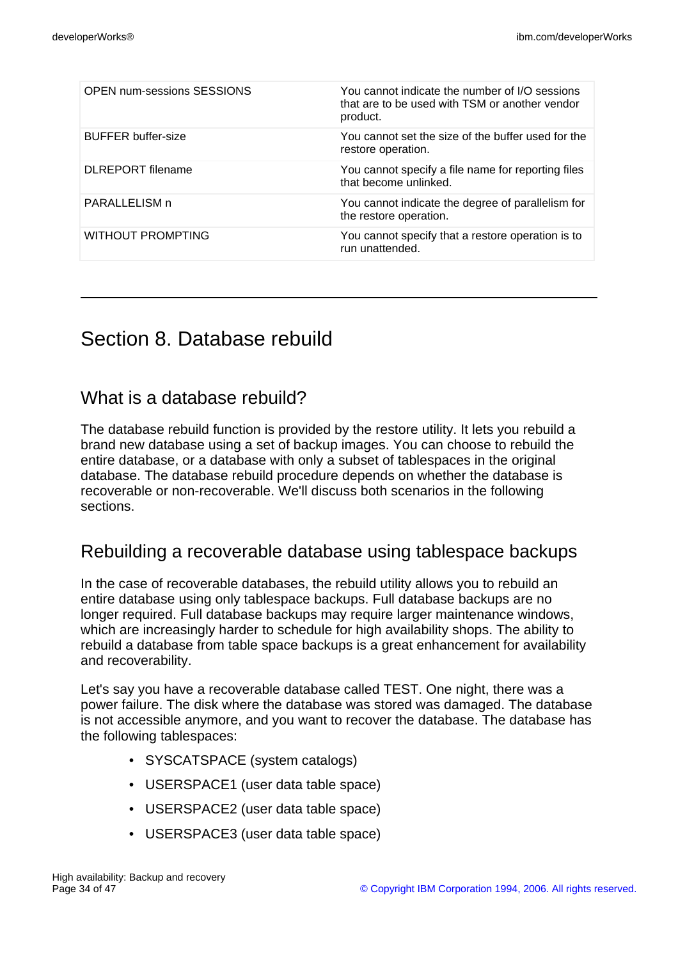| <b>OPEN num-sessions SESSIONS</b> | You cannot indicate the number of I/O sessions<br>that are to be used with TSM or another vendor<br>product. |
|-----------------------------------|--------------------------------------------------------------------------------------------------------------|
| <b>BUFFER buffer-size</b>         | You cannot set the size of the buffer used for the<br>restore operation.                                     |
| <b>DLREPORT</b> filename          | You cannot specify a file name for reporting files<br>that become unlinked.                                  |
| PARALLELISM n                     | You cannot indicate the degree of parallelism for<br>the restore operation.                                  |
| <b>WITHOUT PROMPTING</b>          | You cannot specify that a restore operation is to<br>run unattended.                                         |

# Section 8. Database rebuild

### What is a database rebuild?

The database rebuild function is provided by the restore utility. It lets you rebuild a brand new database using a set of backup images. You can choose to rebuild the entire database, or a database with only a subset of tablespaces in the original database. The database rebuild procedure depends on whether the database is recoverable or non-recoverable. We'll discuss both scenarios in the following sections.

### Rebuilding a recoverable database using tablespace backups

In the case of recoverable databases, the rebuild utility allows you to rebuild an entire database using only tablespace backups. Full database backups are no longer required. Full database backups may require larger maintenance windows, which are increasingly harder to schedule for high availability shops. The ability to rebuild a database from table space backups is a great enhancement for availability and recoverability.

Let's say you have a recoverable database called TEST. One night, there was a power failure. The disk where the database was stored was damaged. The database is not accessible anymore, and you want to recover the database. The database has the following tablespaces:

- SYSCATSPACE (system catalogs)
- USERSPACE1 (user data table space)
- USERSPACE2 (user data table space)
- USERSPACE3 (user data table space)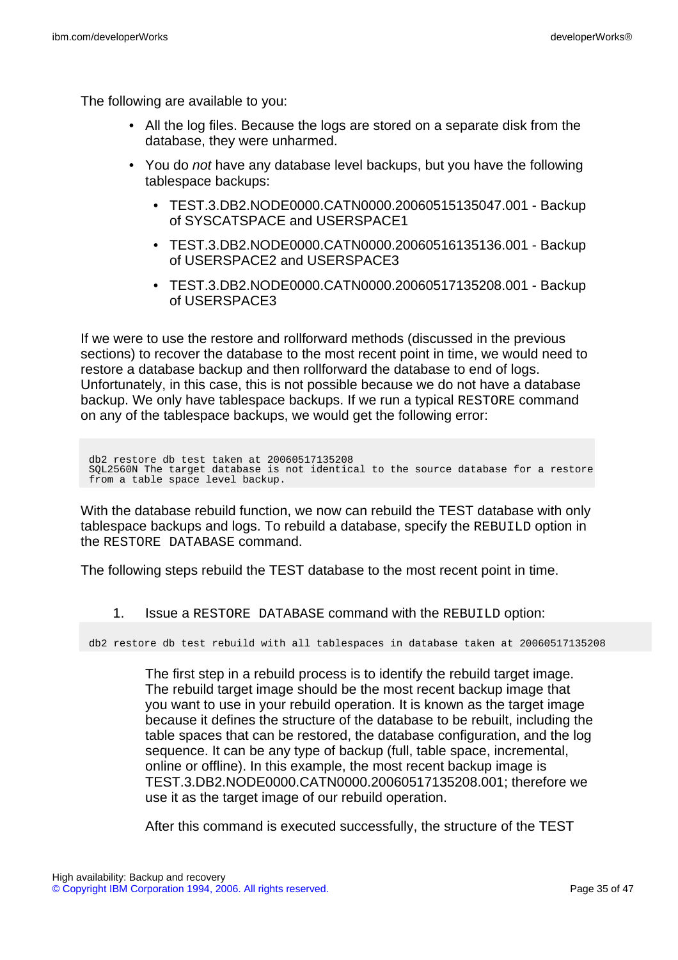The following are available to you:

- All the log files. Because the logs are stored on a separate disk from the database, they were unharmed.
- You do *not* have any database level backups, but you have the following tablespace backups:
	- TEST.3.DB2.NODE0000.CATN0000.20060515135047.001 Backup of SYSCATSPACE and USERSPACE1
	- TEST.3.DB2.NODE0000.CATN0000.20060516135136.001 Backup of USERSPACE2 and USERSPACE3
	- TEST.3.DB2.NODE0000.CATN0000.20060517135208.001 Backup of USERSPACE3

If we were to use the restore and rollforward methods (discussed in the previous sections) to recover the database to the most recent point in time, we would need to restore a database backup and then rollforward the database to end of logs. Unfortunately, in this case, this is not possible because we do not have a database backup. We only have tablespace backups. If we run a typical RESTORE command on any of the tablespace backups, we would get the following error:

db2 restore db test taken at 20060517135208 SQL2560N The target database is not identical to the source database for a restore from a table space level backup.

With the database rebuild function, we now can rebuild the TEST database with only tablespace backups and logs. To rebuild a database, specify the REBUILD option in the RESTORE DATABASE command.

The following steps rebuild the TEST database to the most recent point in time.

1. Issue a RESTORE DATABASE command with the REBUILD option:

db2 restore db test rebuild with all tablespaces in database taken at 20060517135208

The first step in a rebuild process is to identify the rebuild target image. The rebuild target image should be the most recent backup image that you want to use in your rebuild operation. It is known as the target image because it defines the structure of the database to be rebuilt, including the table spaces that can be restored, the database configuration, and the log sequence. It can be any type of backup (full, table space, incremental, online or offline). In this example, the most recent backup image is TEST.3.DB2.NODE0000.CATN0000.20060517135208.001; therefore we use it as the target image of our rebuild operation.

After this command is executed successfully, the structure of the TEST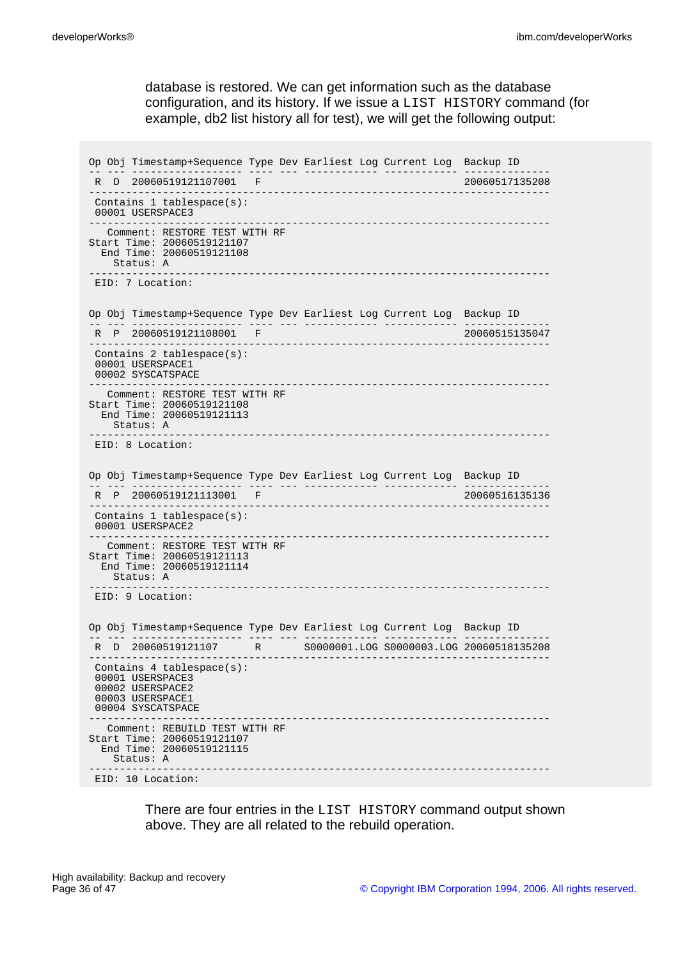database is restored. We can get information such as the database configuration, and its history. If we issue a LIST HISTORY command (for example, db2 list history all for test), we will get the following output:

```
Op Obj Timestamp+Sequence Type Dev Earliest Log Current Log Backup ID
-- --- ------------------ ---- --- ------------ ------------ --------------
R D 20060519121107001 F 20060517135208
                              ---------------------------------------------------------------------------
 Contains 1 tablespace(s):
00001 USERSPACE3
                                                                 ---------------------------------------------------------------------------
  Comment: RESTORE TEST WITH RF
Start Time: 20060519121107
 End Time: 20060519121108
   Status: A
                        ---------------------------------------------------------------------------
EID: 7 Location:
Op Obj Timestamp+Sequence Type Dev Earliest Log Current Log Backup ID
-- --- ------------------ ---- --- ------------ ------------ --------------
R P 20060519121108001 F 20060515135047
                  ---------------------------------------------------------------------------
Contains 2 tablespace(s):
 00001 USERSPACE1
00002 SYSCATSPACE
                                      ---------------------------------------------------------------------------
  Comment: RESTORE TEST WITH RF
Start Time: 20060519121108
  End Time: 20060519121113
   Status: A
---------------------------------------------------------------------------
EID: 8 Location:
Op Obj Timestamp+Sequence Type Dev Earliest Log Current Log Backup ID
                                 -- --- ------------------ ---- --- ------------ ------------ --------------
R P 20060519121113001 F
                               ---------------------------------------------------------------------------
Contains 1 tablespace(s):
 00001 USERSPACE2
                                      ---------------------------------------------------------------------------
   Comment: RESTORE TEST WITH RF
Start Time: 20060519121113
 End Time: 20060519121114
   Status: A
                  ---------------------------------------------------------------------------
EID: 9 Location:
Op Obj Timestamp+Sequence Type Dev Earliest Log Current Log Backup ID
-- --- ------------------ ---- --- ------------ ------------ --------------
 R D 20060519121107 R S0000001.LOG S0000003.LOG 20060518135208
---------------------------------------------------------------------------
Contains 4 tablespace(s):
 00001 USERSPACE3
00002 USERSPACE2
 00003 USERSPACE1
 00004 SYSCATSPACE
                                      ---------------------------------------------------------------------------
  Comment: REBUILD TEST WITH RF
Start Time: 20060519121107
 End Time: 20060519121115
   Status: A
                                                     ---------------------------------------------------------------------------
EID: 10 Location:
```
There are four entries in the LIST HISTORY command output shown above. They are all related to the rebuild operation.

High availability: Backup and recovery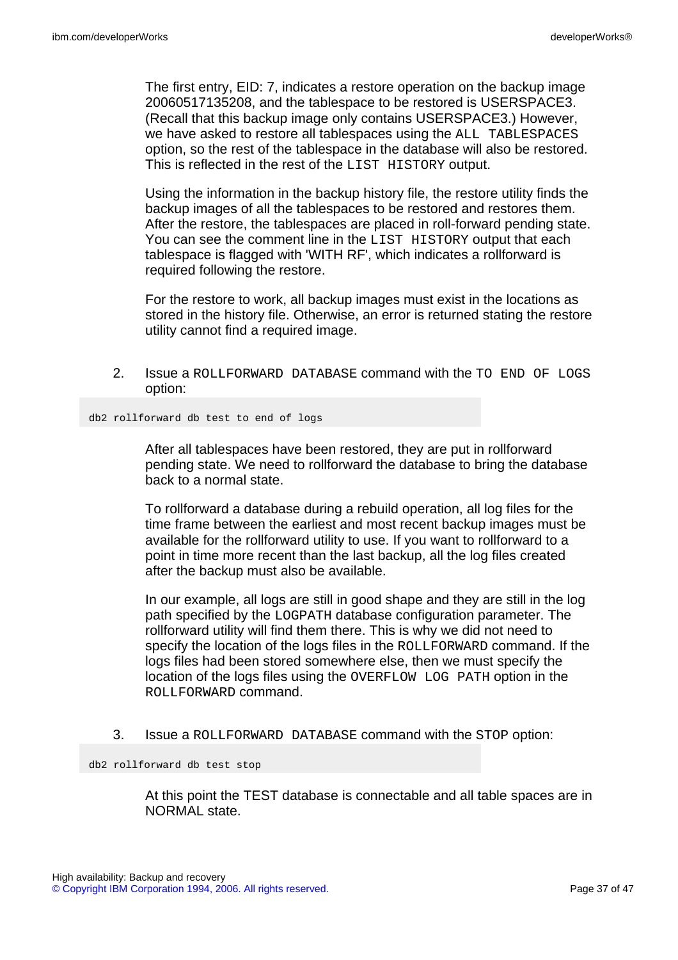The first entry, EID: 7, indicates a restore operation on the backup image 20060517135208, and the tablespace to be restored is USERSPACE3. (Recall that this backup image only contains USERSPACE3.) However, we have asked to restore all tablespaces using the ALL TABLESPACES option, so the rest of the tablespace in the database will also be restored. This is reflected in the rest of the LIST HISTORY output.

Using the information in the backup history file, the restore utility finds the backup images of all the tablespaces to be restored and restores them. After the restore, the tablespaces are placed in roll-forward pending state. You can see the comment line in the LIST HISTORY output that each tablespace is flagged with 'WITH RF', which indicates a rollforward is required following the restore.

For the restore to work, all backup images must exist in the locations as stored in the history file. Otherwise, an error is returned stating the restore utility cannot find a required image.

2. Issue a ROLLFORWARD DATABASE command with the TO END OF LOGS option:

db2 rollforward db test to end of logs

After all tablespaces have been restored, they are put in rollforward pending state. We need to rollforward the database to bring the database back to a normal state.

To rollforward a database during a rebuild operation, all log files for the time frame between the earliest and most recent backup images must be available for the rollforward utility to use. If you want to rollforward to a point in time more recent than the last backup, all the log files created after the backup must also be available.

In our example, all logs are still in good shape and they are still in the log path specified by the LOGPATH database configuration parameter. The rollforward utility will find them there. This is why we did not need to specify the location of the logs files in the ROLLFORWARD command. If the logs files had been stored somewhere else, then we must specify the location of the logs files using the OVERFLOW LOG PATH option in the ROLLFORWARD command.

3. Issue a ROLLFORWARD DATABASE command with the STOP option:

db2 rollforward db test stop

At this point the TEST database is connectable and all table spaces are in NORMAL state.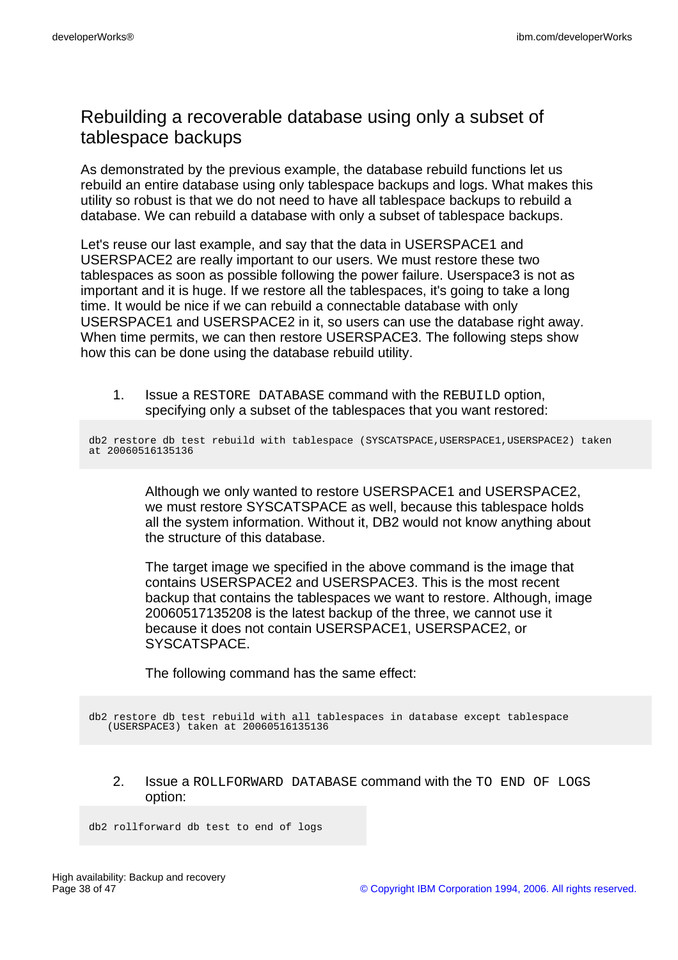## Rebuilding a recoverable database using only a subset of tablespace backups

As demonstrated by the previous example, the database rebuild functions let us rebuild an entire database using only tablespace backups and logs. What makes this utility so robust is that we do not need to have all tablespace backups to rebuild a database. We can rebuild a database with only a subset of tablespace backups.

Let's reuse our last example, and say that the data in USERSPACE1 and USERSPACE2 are really important to our users. We must restore these two tablespaces as soon as possible following the power failure. Userspace3 is not as important and it is huge. If we restore all the tablespaces, it's going to take a long time. It would be nice if we can rebuild a connectable database with only USERSPACE1 and USERSPACE2 in it, so users can use the database right away. When time permits, we can then restore USERSPACE3. The following steps show how this can be done using the database rebuild utility.

1. Issue a RESTORE DATABASE command with the REBUILD option, specifying only a subset of the tablespaces that you want restored:

db2 restore db test rebuild with tablespace (SYSCATSPACE, USERSPACE1, USERSPACE2) taken at 20060516135136

> Although we only wanted to restore USERSPACE1 and USERSPACE2, we must restore SYSCATSPACE as well, because this tablespace holds all the system information. Without it, DB2 would not know anything about the structure of this database.

> The target image we specified in the above command is the image that contains USERSPACE2 and USERSPACE3. This is the most recent backup that contains the tablespaces we want to restore. Although, image 20060517135208 is the latest backup of the three, we cannot use it because it does not contain USERSPACE1, USERSPACE2, or SYSCATSPACE.

The following command has the same effect:

db2 restore db test rebuild with all tablespaces in database except tablespace (USERSPACE3) taken at 20060516135136

2. Issue a ROLLFORWARD DATABASE command with the TO END OF LOGS option:

db2 rollforward db test to end of logs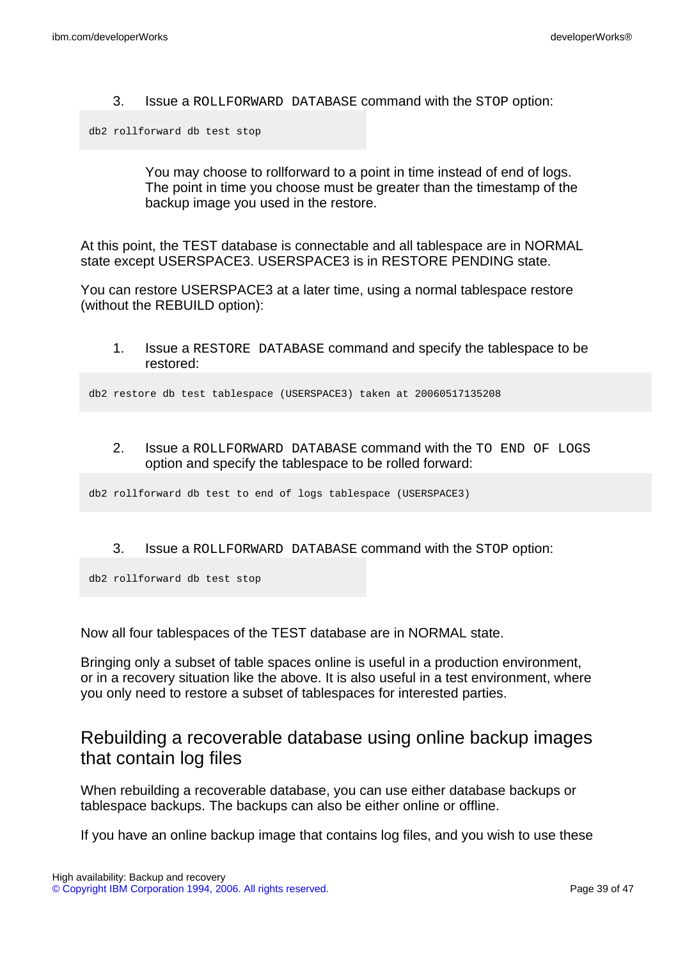3. Issue a ROLLFORWARD DATABASE command with the STOP option:

db2 rollforward db test stop

You may choose to rollforward to a point in time instead of end of logs. The point in time you choose must be greater than the timestamp of the backup image you used in the restore.

At this point, the TEST database is connectable and all tablespace are in NORMAL state except USERSPACE3. USERSPACE3 is in RESTORE PENDING state.

You can restore USERSPACE3 at a later time, using a normal tablespace restore (without the REBUILD option):

1. Issue a RESTORE DATABASE command and specify the tablespace to be restored:

db2 restore db test tablespace (USERSPACE3) taken at 20060517135208

2. Issue a ROLLFORWARD DATABASE command with the TO END OF LOGS option and specify the tablespace to be rolled forward:

db2 rollforward db test to end of logs tablespace (USERSPACE3)

#### 3. Issue a ROLLFORWARD DATABASE command with the STOP option:

db2 rollforward db test stop

Now all four tablespaces of the TEST database are in NORMAL state.

Bringing only a subset of table spaces online is useful in a production environment, or in a recovery situation like the above. It is also useful in a test environment, where you only need to restore a subset of tablespaces for interested parties.

### Rebuilding a recoverable database using online backup images that contain log files

When rebuilding a recoverable database, you can use either database backups or tablespace backups. The backups can also be either online or offline.

If you have an online backup image that contains log files, and you wish to use these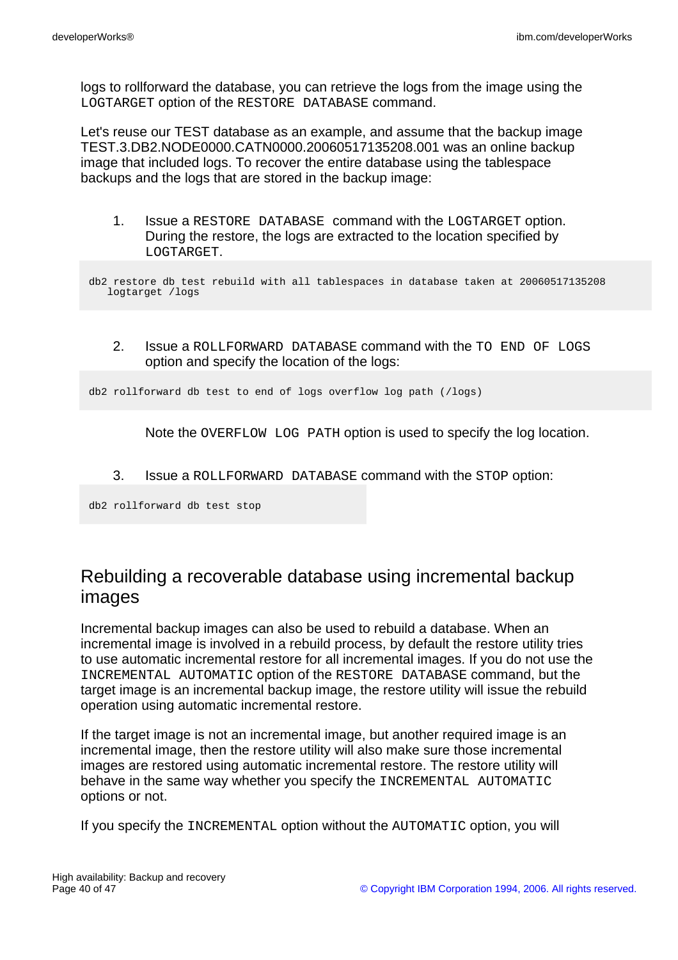logs to rollforward the database, you can retrieve the logs from the image using the LOGTARGET option of the RESTORE DATABASE command.

Let's reuse our TEST database as an example, and assume that the backup image TEST.3.DB2.NODE0000.CATN0000.20060517135208.001 was an online backup image that included logs. To recover the entire database using the tablespace backups and the logs that are stored in the backup image:

1. Issue a RESTORE DATABASE command with the LOGTARGET option. During the restore, the logs are extracted to the location specified by LOGTARGET.

db2 restore db test rebuild with all tablespaces in database taken at 20060517135208 logtarget /logs

2. Issue a ROLLFORWARD DATABASE command with the TO END OF LOGS option and specify the location of the logs:

db2 rollforward db test to end of logs overflow log path (/logs)

Note the OVERFLOW LOG PATH option is used to specify the log location.

3. Issue a ROLLFORWARD DATABASE command with the STOP option:

db2 rollforward db test stop

## Rebuilding a recoverable database using incremental backup images

Incremental backup images can also be used to rebuild a database. When an incremental image is involved in a rebuild process, by default the restore utility tries to use automatic incremental restore for all incremental images. If you do not use the INCREMENTAL AUTOMATIC option of the RESTORE DATABASE command, but the target image is an incremental backup image, the restore utility will issue the rebuild operation using automatic incremental restore.

If the target image is not an incremental image, but another required image is an incremental image, then the restore utility will also make sure those incremental images are restored using automatic incremental restore. The restore utility will behave in the same way whether you specify the INCREMENTAL AUTOMATIC options or not.

If you specify the INCREMENTAL option without the AUTOMATIC option, you will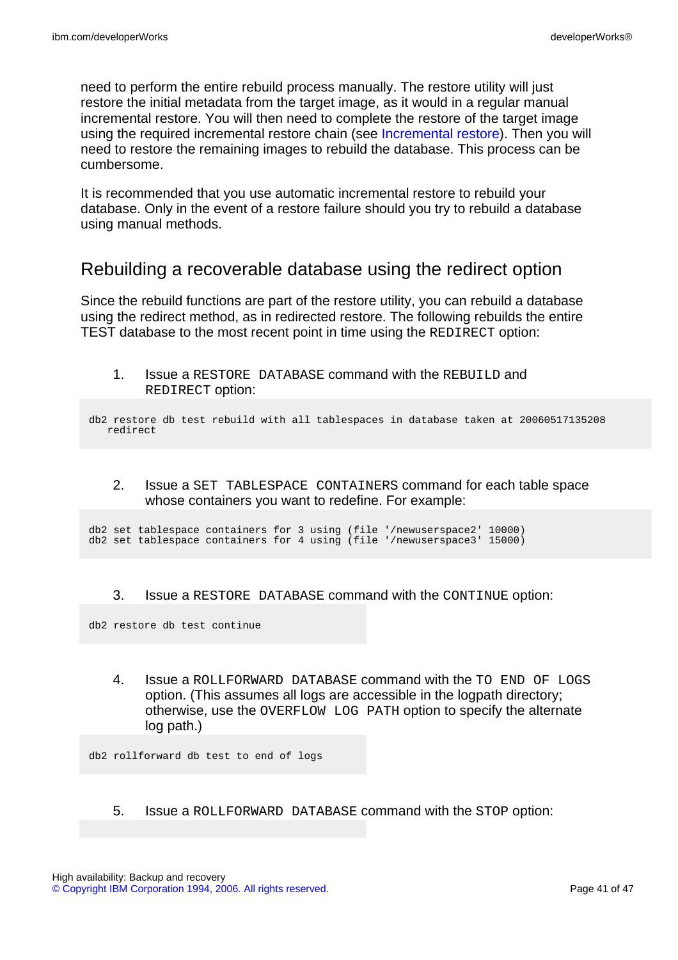need to perform the entire rebuild process manually. The restore utility will just restore the initial metadata from the target image, as it would in a regular manual incremental restore. You will then need to complete the restore of the target image using the required incremental restore chain (see [Incremental restore](#page-21-0)). Then you will need to restore the remaining images to rebuild the database. This process can be cumbersome.

It is recommended that you use automatic incremental restore to rebuild your database. Only in the event of a restore failure should you try to rebuild a database using manual methods.

## Rebuilding a recoverable database using the redirect option

Since the rebuild functions are part of the restore utility, you can rebuild a database using the redirect method, as in redirected restore. The following rebuilds the entire TEST database to the most recent point in time using the REDIRECT option:

1. Issue a RESTORE DATABASE command with the REBUILD and REDIRECT option:

db2 restore db test rebuild with all tablespaces in database taken at 20060517135208 redirect

2. Issue a SET TABLESPACE CONTAINERS command for each table space whose containers you want to redefine. For example:

db2 set tablespace containers for 3 using (file '/newuserspace2' 10000) db2 set tablespace containers for 4 using (file '/newuserspace3' 15000)

3. Issue a RESTORE DATABASE command with the CONTINUE option:

db2 restore db test continue

4. Issue a ROLLFORWARD DATABASE command with the TO END OF LOGS option. (This assumes all logs are accessible in the logpath directory; otherwise, use the OVERFLOW LOG PATH option to specify the alternate log path.)

db2 rollforward db test to end of logs

5. Issue a ROLLFORWARD DATABASE command with the STOP option: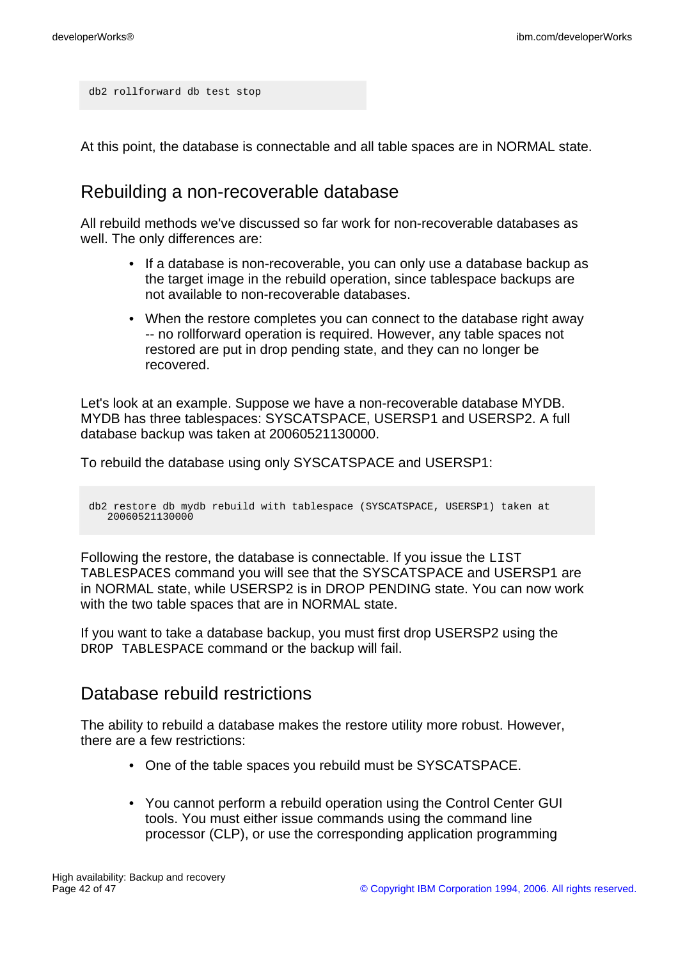```
db2 rollforward db test stop
```
At this point, the database is connectable and all table spaces are in NORMAL state.

### Rebuilding a non-recoverable database

All rebuild methods we've discussed so far work for non-recoverable databases as well. The only differences are:

- If a database is non-recoverable, you can only use a database backup as the target image in the rebuild operation, since tablespace backups are not available to non-recoverable databases.
- When the restore completes you can connect to the database right away -- no rollforward operation is required. However, any table spaces not restored are put in drop pending state, and they can no longer be recovered.

Let's look at an example. Suppose we have a non-recoverable database MYDB. MYDB has three tablespaces: SYSCATSPACE, USERSP1 and USERSP2. A full database backup was taken at 20060521130000.

To rebuild the database using only SYSCATSPACE and USERSP1:

```
db2 restore db mydb rebuild with tablespace (SYSCATSPACE, USERSP1) taken at
   20060521130000
```
Following the restore, the database is connectable. If you issue the LIST TABLESPACES command you will see that the SYSCATSPACE and USERSP1 are in NORMAL state, while USERSP2 is in DROP PENDING state. You can now work with the two table spaces that are in NORMAL state.

If you want to take a database backup, you must first drop USERSP2 using the DROP TABLESPACE command or the backup will fail.

### Database rebuild restrictions

The ability to rebuild a database makes the restore utility more robust. However, there are a few restrictions:

- One of the table spaces you rebuild must be SYSCATSPACE.
- You cannot perform a rebuild operation using the Control Center GUI tools. You must either issue commands using the command line processor (CLP), or use the corresponding application programming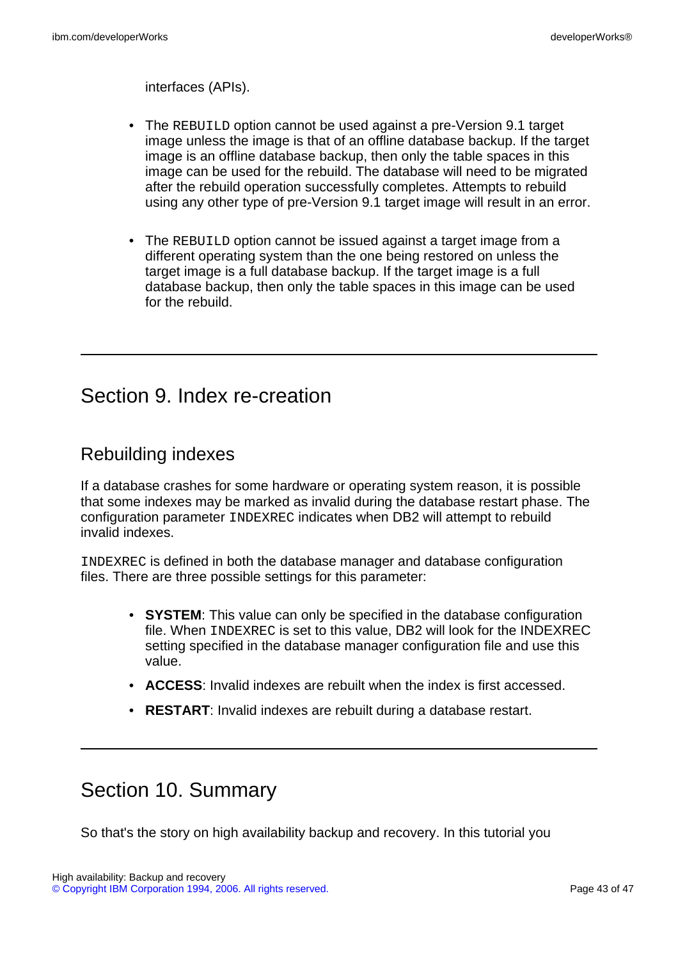interfaces (APIs).

- The REBUILD option cannot be used against a pre-Version 9.1 target image unless the image is that of an offline database backup. If the target image is an offline database backup, then only the table spaces in this image can be used for the rebuild. The database will need to be migrated after the rebuild operation successfully completes. Attempts to rebuild using any other type of pre-Version 9.1 target image will result in an error.
- The REBUILD option cannot be issued against a target image from a different operating system than the one being restored on unless the target image is a full database backup. If the target image is a full database backup, then only the table spaces in this image can be used for the rebuild.

# Section 9. Index re-creation

### Rebuilding indexes

If a database crashes for some hardware or operating system reason, it is possible that some indexes may be marked as invalid during the database restart phase. The configuration parameter INDEXREC indicates when DB2 will attempt to rebuild invalid indexes.

INDEXREC is defined in both the database manager and database configuration files. There are three possible settings for this parameter:

- **SYSTEM**: This value can only be specified in the database configuration file. When INDEXREC is set to this value, DB2 will look for the INDEXREC setting specified in the database manager configuration file and use this value.
- **ACCESS**: Invalid indexes are rebuilt when the index is first accessed.
- **RESTART**: Invalid indexes are rebuilt during a database restart.

# Section 10. Summary

So that's the story on high availability backup and recovery. In this tutorial you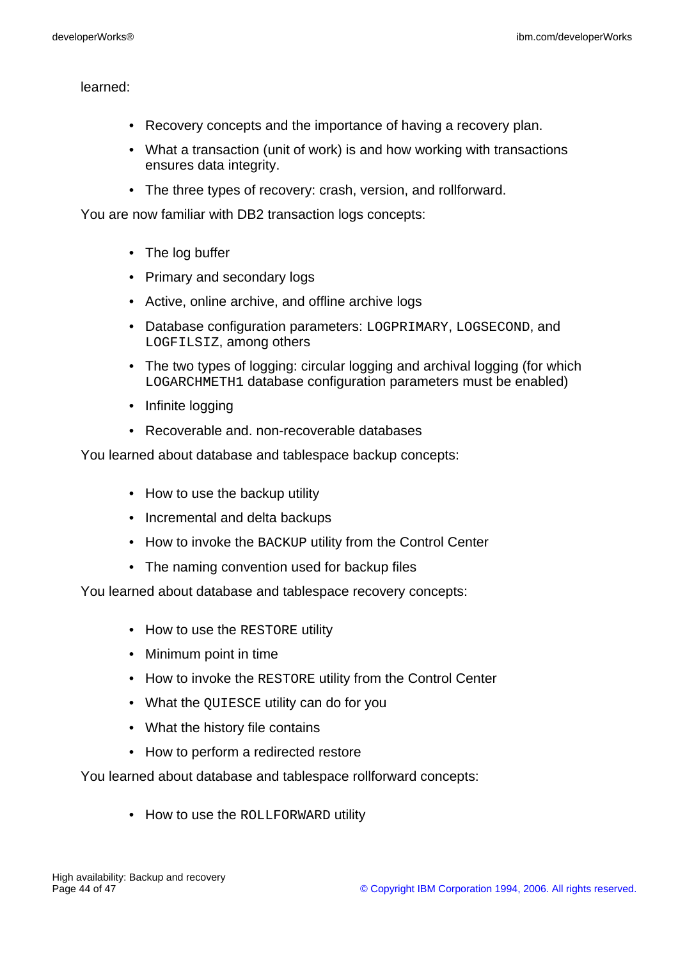learned:

- Recovery concepts and the importance of having a recovery plan.
- What a transaction (unit of work) is and how working with transactions ensures data integrity.
- The three types of recovery: crash, version, and rollforward.

You are now familiar with DB2 transaction logs concepts:

- The log buffer
- Primary and secondary logs
- Active, online archive, and offline archive logs
- Database configuration parameters: LOGPRIMARY, LOGSECOND, and LOGFILSIZ, among others
- The two types of logging: circular logging and archival logging (for which LOGARCHMETH1 database configuration parameters must be enabled)
- Infinite logging
- Recoverable and. non-recoverable databases

You learned about database and tablespace backup concepts:

- How to use the backup utility
- Incremental and delta backups
- How to invoke the BACKUP utility from the Control Center
- The naming convention used for backup files

You learned about database and tablespace recovery concepts:

- How to use the RESTORE utility
- Minimum point in time
- How to invoke the RESTORE utility from the Control Center
- What the QUIESCE utility can do for you
- What the history file contains
- How to perform a redirected restore

You learned about database and tablespace rollforward concepts:

• How to use the ROLLFORWARD utility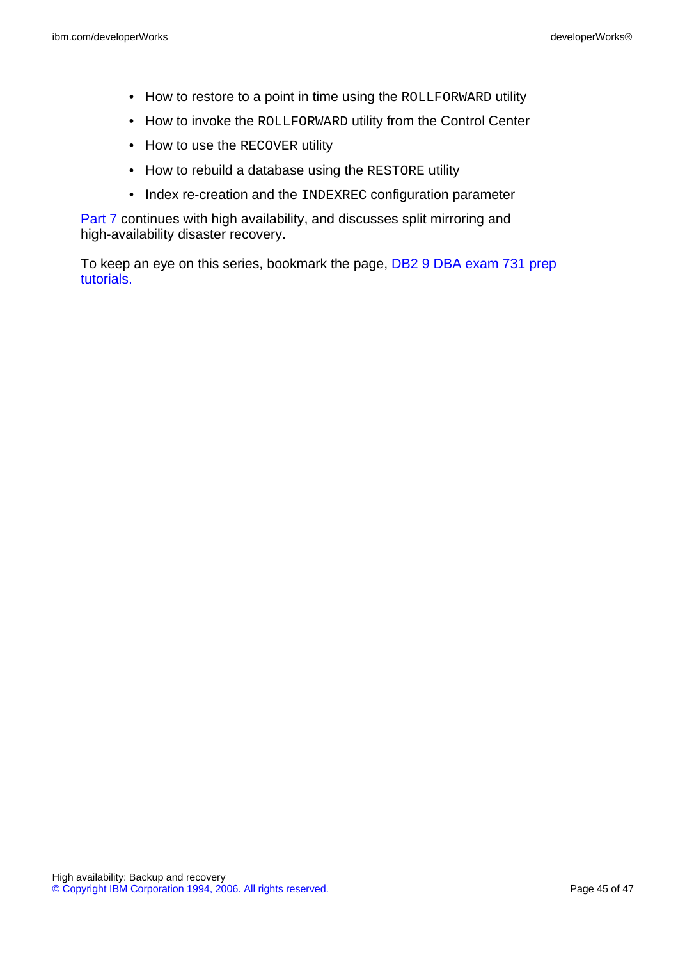- How to restore to a point in time using the ROLLFORWARD utility
- How to invoke the ROLLFORWARD utility from the Control Center
- How to use the RECOVER utility
- How to rebuild a database using the RESTORE utility
- Index re-creation and the INDEXREC configuration parameter

[Part 7](http://www.ibm.com/developerworks/edu/dm-dw-db2-db2cert7317.html?S_TACT=105AGX19&S_CMP=db2cert) continues with high availability, and discusses split mirroring and high-availability disaster recovery.

To keep an eye on this series, bookmark the page, [DB2 9 DBA exam 731 prep](http://www.ibm.com/developerworks/offers/lp/db2cert/db2-cert731.html?S_TACT=105AGX19&S_CMP=db2cert) [tutorials.](http://www.ibm.com/developerworks/offers/lp/db2cert/db2-cert731.html?S_TACT=105AGX19&S_CMP=db2cert)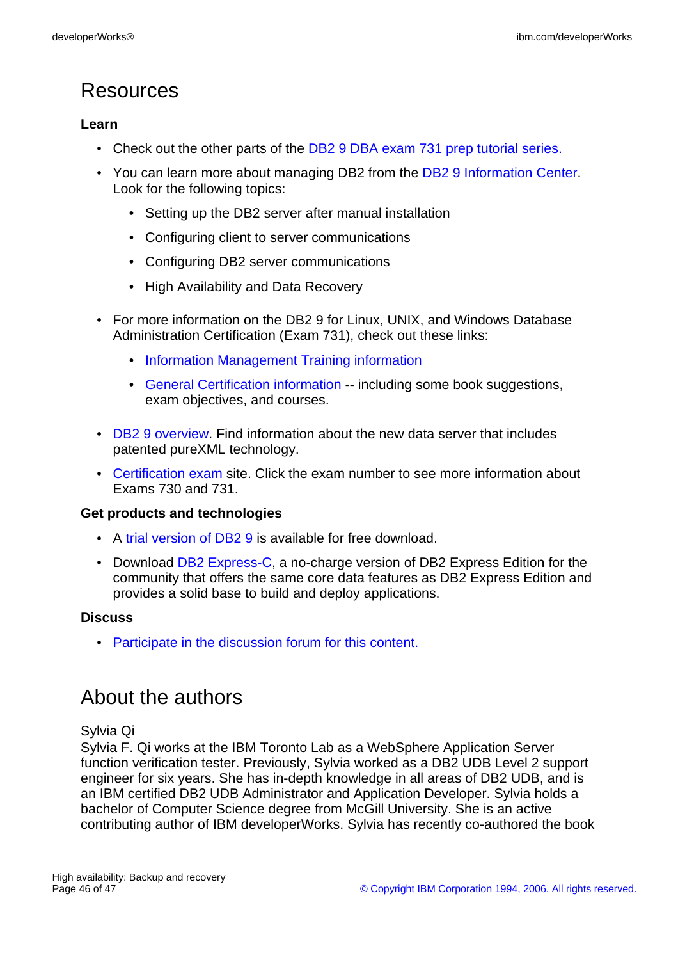# <span id="page-45-1"></span>Resources

#### **Learn**

- Check out the other parts of the [DB2 9 DBA exam 731 prep tutorial series.](http://www.ibm.com/developerworks/offers/lp/db2cert/db2-cert731.html?S_TACT=105AGX19&S_CMP=db2cert)
- You can learn more about managing DB2 from the [DB2 9 Information Center.](http://publib.boulder.ibm.com/infocenter/db2luw/v9/) Look for the following topics:
	- Setting up the DB2 server after manual installation
	- Configuring client to server communications
	- Configuring DB2 server communications
	- High Availability and Data Recovery
- For more information on the DB2 9 for Linux, UNIX, and Windows Database Administration Certification (Exam 731), check out these links:
	- [Information Management Training information](http://www-306.ibm.com/software/data/education/)
	- [General Certification information](http://www-306.ibm.com/software/data/education/cert.html) -- including some book suggestions, exam objectives, and courses.
- [DB2 9 overview](http://www-306.ibm.com/software/data/db2/v9/pr.html). Find information about the new data server that includes patented pureXML technology.
- [Certification exam](http://www-03.ibm.com/certify/tests/test_index.shtml) site. Click the exam number to see more information about Exams 730 and 731.

#### **Get products and technologies**

- A [trial version of DB2 9](http://www.ibm.com/developerworks/downloads/im/udb/?S_TACT=105AGX19&S_CMP=db2cert) is available for free download.
- Download [DB2 Express-C,](http://www.ibm.com/developerworks/downloads/im/udbexp/index.html?S_TACT=105AGX19&S_CMP=db2cert) a no-charge version of DB2 Express Edition for the community that offers the same core data features as DB2 Express Edition and provides a solid base to build and deploy applications.

#### **Discuss**

• [Participate in the discussion forum for this content.](http://www.ibm.com/developerworks/forums/#IM)

# <span id="page-45-0"></span>About the authors

Sylvia Qi

Sylvia F. Qi works at the IBM Toronto Lab as a WebSphere Application Server function verification tester. Previously, Sylvia worked as a DB2 UDB Level 2 support engineer for six years. She has in-depth knowledge in all areas of DB2 UDB, and is an IBM certified DB2 UDB Administrator and Application Developer. Sylvia holds a bachelor of Computer Science degree from McGill University. She is an active contributing author of IBM developerWorks. Sylvia has recently co-authored the book